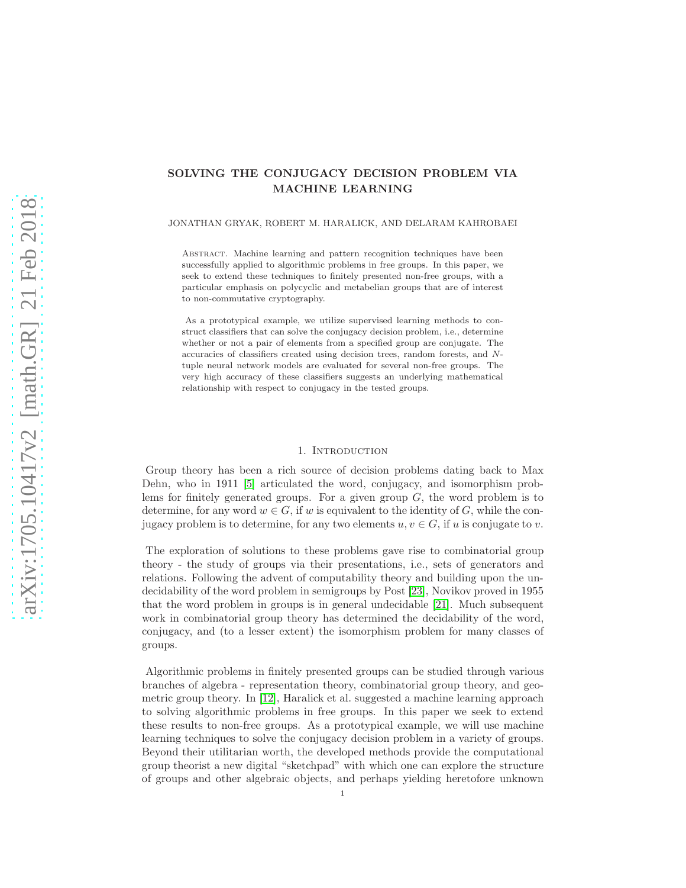# SOLVING THE CONJUGACY DECISION PROBLEM VIA MACHINE LEARNING

#### JONATHAN GRYAK, ROBERT M. HARALICK, AND DELARAM KAHROBAEI

Abstract. Machine learning and pattern recognition techniques have been successfully applied to algorithmic problems in free groups. In this paper, we seek to extend these techniques to finitely presented non-free groups, with a particular emphasis on polycyclic and metabelian groups that are of interest to non-commutative cryptography.

As a prototypical example, we utilize supervised learning methods to construct classifiers that can solve the conjugacy decision problem, i.e., determine whether or not a pair of elements from a specified group are conjugate. The accuracies of classifiers created using decision trees, random forests, and Ntuple neural network models are evaluated for several non-free groups. The very high accuracy of these classifiers suggests an underlying mathematical relationship with respect to conjugacy in the tested groups.

#### 1. INTRODUCTION

Group theory has been a rich source of decision problems dating back to Max Dehn, who in 1911 [\[5\]](#page-20-0) articulated the word, conjugacy, and isomorphism problems for finitely generated groups. For a given group  $G$ , the word problem is to determine, for any word  $w \in G$ , if w is equivalent to the identity of G, while the conjugacy problem is to determine, for any two elements  $u, v \in G$ , if u is conjugate to v.

The exploration of solutions to these problems gave rise to combinatorial group theory - the study of groups via their presentations, i.e., sets of generators and relations. Following the advent of computability theory and building upon the undecidability of the word problem in semigroups by Post [\[23\]](#page-20-1), Novikov proved in 1955 that the word problem in groups is in general undecidable [\[21\]](#page-20-2). Much subsequent work in combinatorial group theory has determined the decidability of the word, conjugacy, and (to a lesser extent) the isomorphism problem for many classes of groups.

Algorithmic problems in finitely presented groups can be studied through various branches of algebra - representation theory, combinatorial group theory, and geometric group theory. In [\[12\]](#page-20-3), Haralick et al. suggested a machine learning approach to solving algorithmic problems in free groups. In this paper we seek to extend these results to non-free groups. As a prototypical example, we will use machine learning techniques to solve the conjugacy decision problem in a variety of groups. Beyond their utilitarian worth, the developed methods provide the computational group theorist a new digital "sketchpad" with which one can explore the structure of groups and other algebraic objects, and perhaps yielding heretofore unknown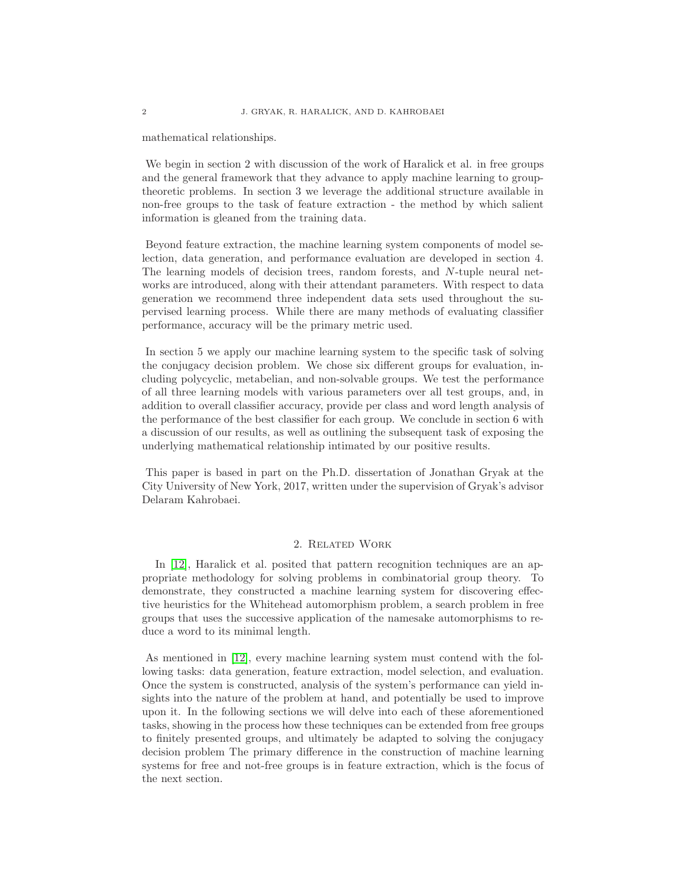mathematical relationships.

We begin in section 2 with discussion of the work of Haralick et al. in free groups and the general framework that they advance to apply machine learning to grouptheoretic problems. In section 3 we leverage the additional structure available in non-free groups to the task of feature extraction - the method by which salient information is gleaned from the training data.

Beyond feature extraction, the machine learning system components of model selection, data generation, and performance evaluation are developed in section 4. The learning models of decision trees, random forests, and N-tuple neural networks are introduced, along with their attendant parameters. With respect to data generation we recommend three independent data sets used throughout the supervised learning process. While there are many methods of evaluating classifier performance, accuracy will be the primary metric used.

In section 5 we apply our machine learning system to the specific task of solving the conjugacy decision problem. We chose six different groups for evaluation, including polycyclic, metabelian, and non-solvable groups. We test the performance of all three learning models with various parameters over all test groups, and, in addition to overall classifier accuracy, provide per class and word length analysis of the performance of the best classifier for each group. We conclude in section 6 with a discussion of our results, as well as outlining the subsequent task of exposing the underlying mathematical relationship intimated by our positive results.

This paper is based in part on the Ph.D. dissertation of Jonathan Gryak at the City University of New York, 2017, written under the supervision of Gryak's advisor Delaram Kahrobaei.

#### 2. Related Work

In [\[12\]](#page-20-3), Haralick et al. posited that pattern recognition techniques are an appropriate methodology for solving problems in combinatorial group theory. To demonstrate, they constructed a machine learning system for discovering effective heuristics for the Whitehead automorphism problem, a search problem in free groups that uses the successive application of the namesake automorphisms to reduce a word to its minimal length.

As mentioned in [\[12\]](#page-20-3), every machine learning system must contend with the following tasks: data generation, feature extraction, model selection, and evaluation. Once the system is constructed, analysis of the system's performance can yield insights into the nature of the problem at hand, and potentially be used to improve upon it. In the following sections we will delve into each of these aforementioned tasks, showing in the process how these techniques can be extended from free groups to finitely presented groups, and ultimately be adapted to solving the conjugacy decision problem The primary difference in the construction of machine learning systems for free and not-free groups is in feature extraction, which is the focus of the next section.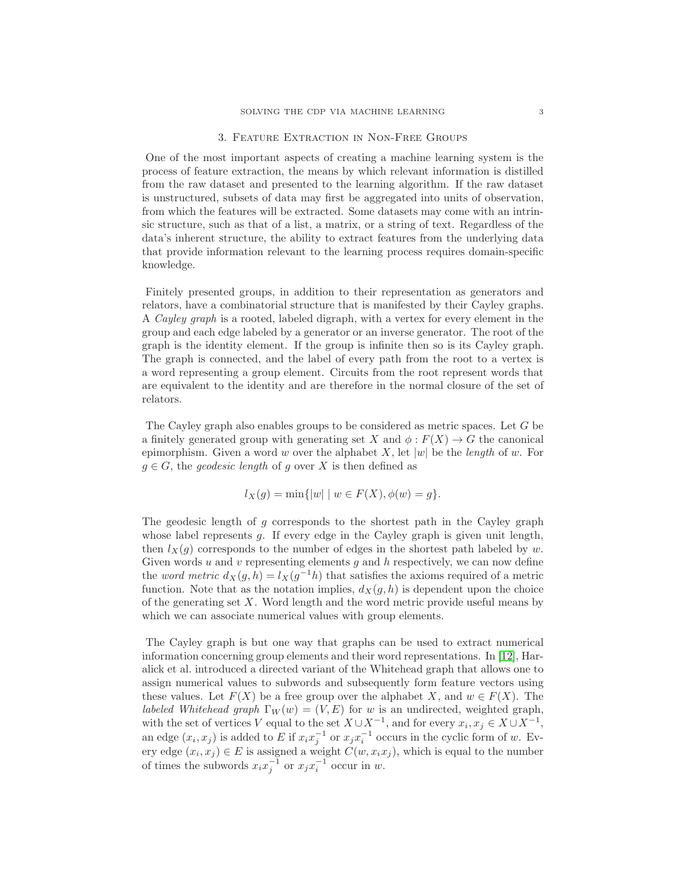# 3. Feature Extraction in Non-Free Groups

One of the most important aspects of creating a machine learning system is the process of feature extraction, the means by which relevant information is distilled from the raw dataset and presented to the learning algorithm. If the raw dataset is unstructured, subsets of data may first be aggregated into units of observation, from which the features will be extracted. Some datasets may come with an intrinsic structure, such as that of a list, a matrix, or a string of text. Regardless of the data's inherent structure, the ability to extract features from the underlying data that provide information relevant to the learning process requires domain-specific knowledge.

Finitely presented groups, in addition to their representation as generators and relators, have a combinatorial structure that is manifested by their Cayley graphs. A Cayley graph is a rooted, labeled digraph, with a vertex for every element in the group and each edge labeled by a generator or an inverse generator. The root of the graph is the identity element. If the group is infinite then so is its Cayley graph. The graph is connected, and the label of every path from the root to a vertex is a word representing a group element. Circuits from the root represent words that are equivalent to the identity and are therefore in the normal closure of the set of relators.

The Cayley graph also enables groups to be considered as metric spaces. Let G be a finitely generated group with generating set X and  $\phi : F(X) \to G$  the canonical epimorphism. Given a word w over the alphabet X, let  $|w|$  be the length of w. For  $g \in G$ , the *geodesic length* of g over X is then defined as

$$
l_X(g) = \min\{|w| \mid w \in F(X), \phi(w) = g\}.
$$

The geodesic length of g corresponds to the shortest path in the Cayley graph whose label represents  $g$ . If every edge in the Cayley graph is given unit length, then  $l_X(g)$  corresponds to the number of edges in the shortest path labeled by w. Given words  $u$  and  $v$  representing elements  $g$  and  $h$  respectively, we can now define the *word metric*  $d_X(g, h) = l_X(g^{-1}h)$  that satisfies the axioms required of a metric function. Note that as the notation implies,  $d_X(g, h)$  is dependent upon the choice of the generating set  $X$ . Word length and the word metric provide useful means by which we can associate numerical values with group elements.

The Cayley graph is but one way that graphs can be used to extract numerical information concerning group elements and their word representations. In [\[12\]](#page-20-3), Haralick et al. introduced a directed variant of the Whitehead graph that allows one to assign numerical values to subwords and subsequently form feature vectors using these values. Let  $F(X)$  be a free group over the alphabet X, and  $w \in F(X)$ . The *labeled Whitehead graph*  $\Gamma_W(w) = (V, E)$  for w is an undirected, weighted graph, with the set of vertices V equal to the set  $X \cup X^{-1}$ , and for every  $x_i, x_j \in X \cup X^{-1}$ , an edge  $(x_i, x_j)$  is added to E if  $x_i x_j^{-1}$  or  $x_j x_i^{-1}$  occurs in the cyclic form of w. Every edge  $(x_i, x_j) \in E$  is assigned a weight  $C(w, x_i x_j)$ , which is equal to the number of times the subwords  $x_i x_j^{-1}$  or  $x_j x_i^{-1}$  occur in w.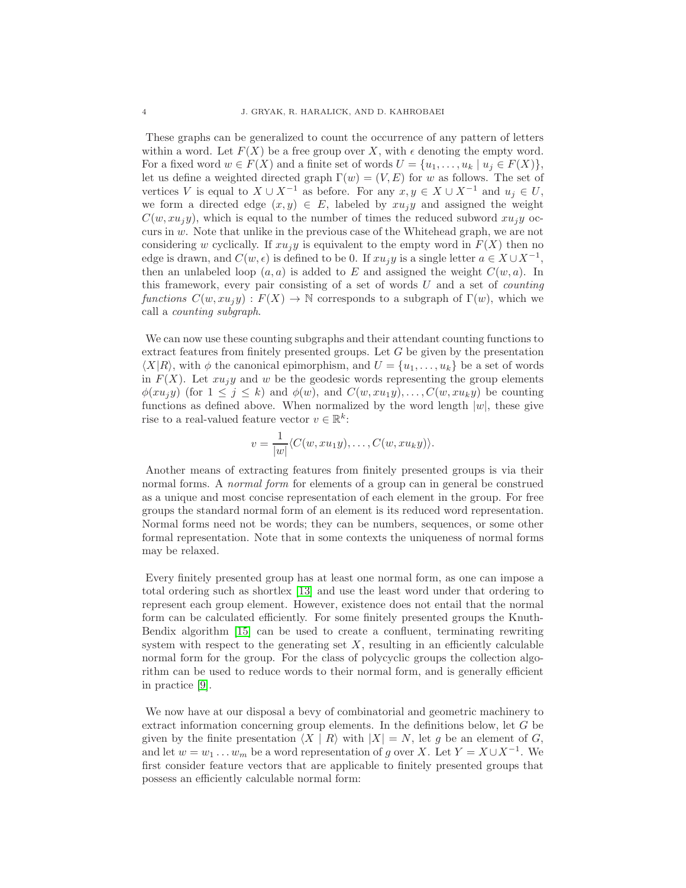These graphs can be generalized to count the occurrence of any pattern of letters within a word. Let  $F(X)$  be a free group over X, with  $\epsilon$  denoting the empty word. For a fixed word  $w \in F(X)$  and a finite set of words  $U = \{u_1, \ldots, u_k \mid u_i \in F(X)\},\$ let us define a weighted directed graph  $\Gamma(w) = (V, E)$  for w as follows. The set of vertices V is equal to  $X \cup X^{-1}$  as before. For any  $x, y \in X \cup X^{-1}$  and  $u_i \in U$ , we form a directed edge  $(x, y) \in E$ , labeled by  $xu_jy$  and assigned the weight  $C(w, xu_iy)$ , which is equal to the number of times the reduced subword  $xu_iy$  occurs in w. Note that unlike in the previous case of the Whitehead graph, we are not considering w cyclically. If  $x u_i y$  is equivalent to the empty word in  $F(X)$  then no edge is drawn, and  $C(w, \epsilon)$  is defined to be 0. If  $xu_jy$  is a single letter  $a \in X \cup X^{-1}$ , then an unlabeled loop  $(a, a)$  is added to E and assigned the weight  $C(w, a)$ . In this framework, every pair consisting of a set of words  $U$  and a set of *counting* functions  $C(w, xu_jy) : F(X) \to \mathbb{N}$  corresponds to a subgraph of  $\Gamma(w)$ , which we call a counting subgraph.

We can now use these counting subgraphs and their attendant counting functions to extract features from finitely presented groups. Let  $G$  be given by the presentation  $\langle X|R\rangle$ , with  $\phi$  the canonical epimorphism, and  $U = \{u_1, \ldots, u_k\}$  be a set of words in  $F(X)$ . Let  $xu_jy$  and w be the geodesic words representing the group elements  $\phi(xu_iy)$  (for  $1 \leq j \leq k$ ) and  $\phi(w)$ , and  $C(w,xu_1y), \ldots, C(w,xu_ky)$  be counting functions as defined above. When normalized by the word length  $|w|$ , these give rise to a real-valued feature vector  $v \in \mathbb{R}^k$ :

$$
v = \frac{1}{|w|} \langle C(w, xu_1y), \dots, C(w, xu_ky) \rangle.
$$

Another means of extracting features from finitely presented groups is via their normal forms. A *normal form* for elements of a group can in general be construed as a unique and most concise representation of each element in the group. For free groups the standard normal form of an element is its reduced word representation. Normal forms need not be words; they can be numbers, sequences, or some other formal representation. Note that in some contexts the uniqueness of normal forms may be relaxed.

Every finitely presented group has at least one normal form, as one can impose a total ordering such as shortlex [\[13\]](#page-20-4) and use the least word under that ordering to represent each group element. However, existence does not entail that the normal form can be calculated efficiently. For some finitely presented groups the Knuth-Bendix algorithm [\[15\]](#page-20-5) can be used to create a confluent, terminating rewriting system with respect to the generating set  $X$ , resulting in an efficiently calculable normal form for the group. For the class of polycyclic groups the collection algorithm can be used to reduce words to their normal form, and is generally efficient in practice [\[9\]](#page-20-6).

<span id="page-3-0"></span>We now have at our disposal a bevy of combinatorial and geometric machinery to extract information concerning group elements. In the definitions below, let G be given by the finite presentation  $\langle X | R \rangle$  with  $|X| = N$ , let g be an element of G, and let  $w = w_1 \dots w_m$  be a word representation of g over X. Let  $Y = X \cup X^{-1}$ . We first consider feature vectors that are applicable to finitely presented groups that possess an efficiently calculable normal form: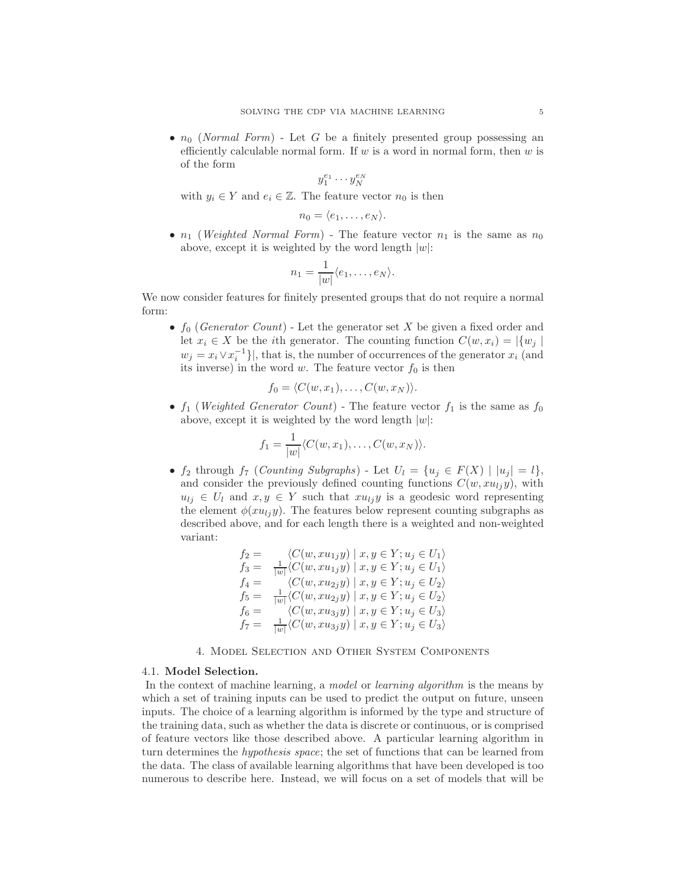•  $n_0$  (Normal Form) - Let G be a finitely presented group possessing an efficiently calculable normal form. If  $w$  is a word in normal form, then  $w$  is of the form

$$
y_1^{e_1}\cdot\cdot\cdot y_N^{e_N}
$$

with  $y_i \in Y$  and  $e_i \in \mathbb{Z}$ . The feature vector  $n_0$  is then

$$
n_0 = \langle e_1, \ldots, e_N \rangle.
$$

•  $n_1$  (*Weighted Normal Form*) - The feature vector  $n_1$  is the same as  $n_0$ above, except it is weighted by the word length  $|w|$ :

$$
n_1 = \frac{1}{|w|} \langle e_1, \dots, e_N \rangle.
$$

We now consider features for finitely presented groups that do not require a normal form:

•  $f_0$  (Generator Count) - Let the generator set X be given a fixed order and let  $x_i \in X$  be the *i*th generator. The counting function  $C(w, x_i) = |\{w_j\}|$  $w_j = x_i \vee x_i^{-1}$ }, that is, the number of occurrences of the generator  $x_i$  (and its inverse) in the word w. The feature vector  $f_0$  is then

$$
f_0 = \langle C(w, x_1), \ldots, C(w, x_N) \rangle.
$$

•  $f_1$  (*Weighted Generator Count*) - The feature vector  $f_1$  is the same as  $f_0$ above, except it is weighted by the word length  $|w|$ :

$$
f_1 = \frac{1}{|w|} \langle C(w, x_1), \dots, C(w, x_N) \rangle.
$$

•  $f_2$  through  $f_7$  (Counting Subgraphs) - Let  $U_l = \{u_j \in F(X) \mid |u_j| = l\},\$ and consider the previously defined counting functions  $C(w, xu_{1i}y)$ , with  $u_{ij} \in U_l$  and  $x, y \in Y$  such that  $x u_{ij}y$  is a geodesic word representing the element  $\phi(xu_{ij}y)$ . The features below represent counting subgraphs as described above, and for each length there is a weighted and non-weighted variant:

$$
f_2 = \langle C(w, xu_{1j}y) | x, y \in Y; u_j \in U_1 \rangle
$$
  
\n
$$
f_3 = \frac{1}{|w|} \langle C(w, xu_{1j}y) | x, y \in Y; u_j \in U_1 \rangle
$$
  
\n
$$
f_4 = \langle C(w, xu_{2j}y) | x, y \in Y; u_j \in U_2 \rangle
$$
  
\n
$$
f_5 = \frac{1}{|w|} \langle C(w, xu_{2j}y) | x, y \in Y; u_j \in U_2 \rangle
$$
  
\n
$$
f_6 = \langle C(w, xu_{3j}y) | x, y \in Y; u_j \in U_3 \rangle
$$
  
\n
$$
f_7 = \frac{1}{|w|} \langle C(w, xu_{3j}y) | x, y \in Y; u_j \in U_3 \rangle
$$

# 4. Model Selection and Other System Components

### 4.1. Model Selection.

In the context of machine learning, a model or learning algorithm is the means by which a set of training inputs can be used to predict the output on future, unseen inputs. The choice of a learning algorithm is informed by the type and structure of the training data, such as whether the data is discrete or continuous, or is comprised of feature vectors like those described above. A particular learning algorithm in turn determines the hypothesis space; the set of functions that can be learned from the data. The class of available learning algorithms that have been developed is too numerous to describe here. Instead, we will focus on a set of models that will be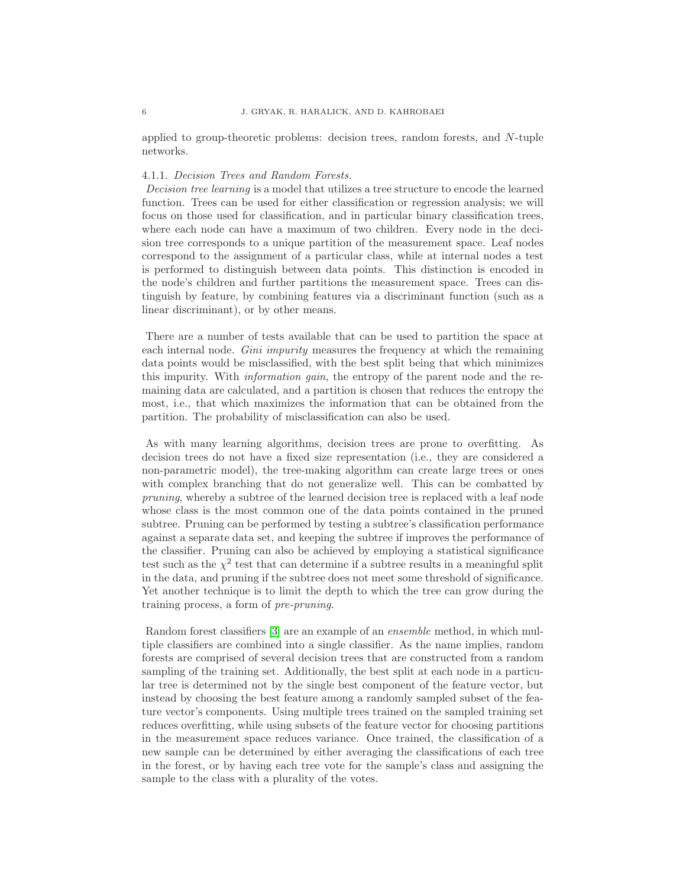applied to group-theoretic problems: decision trees, random forests, and N-tuple networks.

### 4.1.1. Decision Trees and Random Forests.

Decision tree learning is a model that utilizes a tree structure to encode the learned function. Trees can be used for either classification or regression analysis; we will focus on those used for classification, and in particular binary classification trees, where each node can have a maximum of two children. Every node in the decision tree corresponds to a unique partition of the measurement space. Leaf nodes correspond to the assignment of a particular class, while at internal nodes a test is performed to distinguish between data points. This distinction is encoded in the node's children and further partitions the measurement space. Trees can distinguish by feature, by combining features via a discriminant function (such as a linear discriminant), or by other means.

There are a number of tests available that can be used to partition the space at each internal node. *Gini impurity* measures the frequency at which the remaining data points would be misclassified, with the best split being that which minimizes this impurity. With information gain, the entropy of the parent node and the remaining data are calculated, and a partition is chosen that reduces the entropy the most, i.e., that which maximizes the information that can be obtained from the partition. The probability of misclassification can also be used.

As with many learning algorithms, decision trees are prone to overfitting. As decision trees do not have a fixed size representation (i.e., they are considered a non-parametric model), the tree-making algorithm can create large trees or ones with complex branching that do not generalize well. This can be combatted by pruning, whereby a subtree of the learned decision tree is replaced with a leaf node whose class is the most common one of the data points contained in the pruned subtree. Pruning can be performed by testing a subtree's classification performance against a separate data set, and keeping the subtree if improves the performance of the classifier. Pruning can also be achieved by employing a statistical significance test such as the  $\chi^2$  test that can determine if a subtree results in a meaningful split in the data, and pruning if the subtree does not meet some threshold of significance. Yet another technique is to limit the depth to which the tree can grow during the training process, a form of pre-pruning.

Random forest classifiers [\[3\]](#page-20-7) are an example of an ensemble method, in which multiple classifiers are combined into a single classifier. As the name implies, random forests are comprised of several decision trees that are constructed from a random sampling of the training set. Additionally, the best split at each node in a particular tree is determined not by the single best component of the feature vector, but instead by choosing the best feature among a randomly sampled subset of the feature vector's components. Using multiple trees trained on the sampled training set reduces overfitting, while using subsets of the feature vector for choosing partitions in the measurement space reduces variance. Once trained, the classification of a new sample can be determined by either averaging the classifications of each tree in the forest, or by having each tree vote for the sample's class and assigning the sample to the class with a plurality of the votes.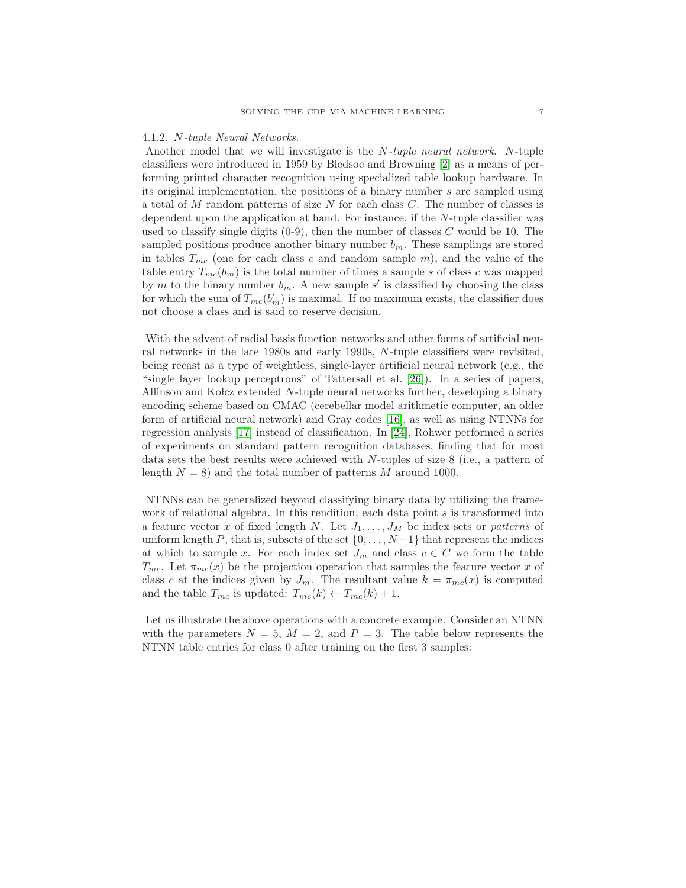#### 4.1.2. N-tuple Neural Networks.

Another model that we will investigate is the N-tuple neural network. N-tuple classifiers were introduced in 1959 by Bledsoe and Browning [\[2\]](#page-20-8) as a means of performing printed character recognition using specialized table lookup hardware. In its original implementation, the positions of a binary number s are sampled using a total of M random patterns of size N for each class C. The number of classes is dependent upon the application at hand. For instance, if the N-tuple classifier was used to classify single digits  $(0-9)$ , then the number of classes C would be 10. The sampled positions produce another binary number  $b_m$ . These samplings are stored in tables  $T_{mc}$  (one for each class c and random sample m), and the value of the table entry  $T_{mc}(b_m)$  is the total number of times a sample s of class c was mapped by m to the binary number  $b_m$ . A new sample s' is classified by choosing the class for which the sum of  $T_{mc}(b_m')$  is maximal. If no maximum exists, the classifier does not choose a class and is said to reserve decision.

With the advent of radial basis function networks and other forms of artificial neural networks in the late 1980s and early 1990s, N-tuple classifiers were revisited, being recast as a type of weightless, single-layer artificial neural network (e.g., the "single layer lookup perceptrons" of Tattersall et al. [\[26\]](#page-21-0)). In a series of papers, Allinson and Kolcz extended N-tuple neural networks further, developing a binary encoding scheme based on CMAC (cerebellar model arithmetic computer, an older form of artificial neural network) and Gray codes [\[16\]](#page-20-9), as well as using NTNNs for regression analysis [\[17\]](#page-20-10) instead of classification. In [\[24\]](#page-20-11), Rohwer performed a series of experiments on standard pattern recognition databases, finding that for most data sets the best results were achieved with N-tuples of size 8 (i.e., a pattern of length  $N = 8$ ) and the total number of patterns M around 1000.

NTNNs can be generalized beyond classifying binary data by utilizing the framework of relational algebra. In this rendition, each data point s is transformed into a feature vector x of fixed length N. Let  $J_1, \ldots, J_M$  be index sets or patterns of uniform length P, that is, subsets of the set  $\{0, \ldots, N-1\}$  that represent the indices at which to sample x. For each index set  $J_m$  and class  $c \in C$  we form the table  $T_{mc}$ . Let  $\pi_{mc}(x)$  be the projection operation that samples the feature vector x of class c at the indices given by  $J_m$ . The resultant value  $k = \pi_{mc}(x)$  is computed and the table  $T_{mc}$  is updated:  $T_{mc}(k) \leftarrow T_{mc}(k) + 1$ .

Let us illustrate the above operations with a concrete example. Consider an NTNN with the parameters  $N = 5$ ,  $M = 2$ , and  $P = 3$ . The table below represents the NTNN table entries for class 0 after training on the first 3 samples: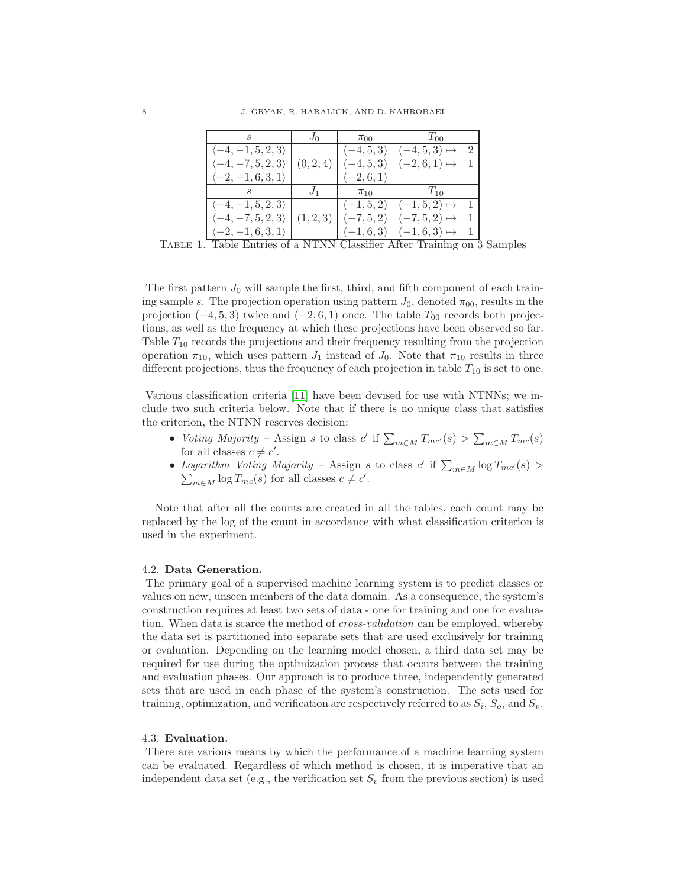|                                           | $J_0$     | $\pi_{00}$   | $T_{00}$                      |  |
|-------------------------------------------|-----------|--------------|-------------------------------|--|
| $\vert \langle -4,-1,5,2,3 \rangle \vert$ |           | $(-4, 5, 3)$ | $(-4, 5, 3) \mapsto$          |  |
| $\langle -4, -7, 5, 2, 3 \rangle$         | (0, 2, 4) | $(-4, 5, 3)$ | $(-2,6,1) \mapsto$            |  |
| $\vert \langle -2,-1,6,3,1 \rangle$       |           | $(-2, 6, 1)$ |                               |  |
|                                           |           | $\pi_{10}$   | $T_{10}$                      |  |
| $\langle -4,-1,5,2,3\rangle$              |           |              | $(-1,5,2)$ $(-1,5,2) \mapsto$ |  |
| $\langle -4, -7, 5, 2, 3 \rangle$         | (1, 2, 3) | $(-7, 5, 2)$ | $(-7,5,2) \mapsto$            |  |
| $\vert \langle -2,-1,6,3,1\rangle$        |           |              | $(-1,6,3)$ $(-1,6,3) \mapsto$ |  |

Table 1. Table Entries of a NTNN Classifier After Training on 3 Samples

The first pattern  $J_0$  will sample the first, third, and fifth component of each training sample s. The projection operation using pattern  $J_0$ , denoted  $\pi_{00}$ , results in the projection  $(-4, 5, 3)$  twice and  $(-2, 6, 1)$  once. The table  $T_{00}$  records both projections, as well as the frequency at which these projections have been observed so far. Table  $T_{10}$  records the projections and their frequency resulting from the projection operation  $\pi_{10}$ , which uses pattern  $J_1$  instead of  $J_0$ . Note that  $\pi_{10}$  results in three different projections, thus the frequency of each projection in table  $T_{10}$  is set to one.

Various classification criteria [\[11\]](#page-20-12) have been devised for use with NTNNs; we include two such criteria below. Note that if there is no unique class that satisfies the criterion, the NTNN reserves decision:

- Voting Majority Assign s to class  $c'$  if  $\sum_{m \in M} T_{mc'}(s) > \sum_{m \in M} T_{mc}(s)$ for all classes  $c \neq c'$ .
- Logarithm Voting Majority Assign s to class  $c'$  if  $\sum_{m \in M} \log T_{mc'}(s) > \sum_{m \in M} \log T_{mc}(s)$  for all classes  $c \neq c'$ .  $_{m\in M}\log T_{mc}(s)$  for all classes  $c\neq c'.$

Note that after all the counts are created in all the tables, each count may be replaced by the log of the count in accordance with what classification criterion is used in the experiment.

#### 4.2. Data Generation.

The primary goal of a supervised machine learning system is to predict classes or values on new, unseen members of the data domain. As a consequence, the system's construction requires at least two sets of data - one for training and one for evaluation. When data is scarce the method of *cross-validation* can be employed, whereby the data set is partitioned into separate sets that are used exclusively for training or evaluation. Depending on the learning model chosen, a third data set may be required for use during the optimization process that occurs between the training and evaluation phases. Our approach is to produce three, independently generated sets that are used in each phase of the system's construction. The sets used for training, optimization, and verification are respectively referred to as  $S_i$ ,  $S_o$ , and  $S_v$ .

# 4.3. Evaluation.

There are various means by which the performance of a machine learning system can be evaluated. Regardless of which method is chosen, it is imperative that an independent data set (e.g., the verification set  $S_v$  from the previous section) is used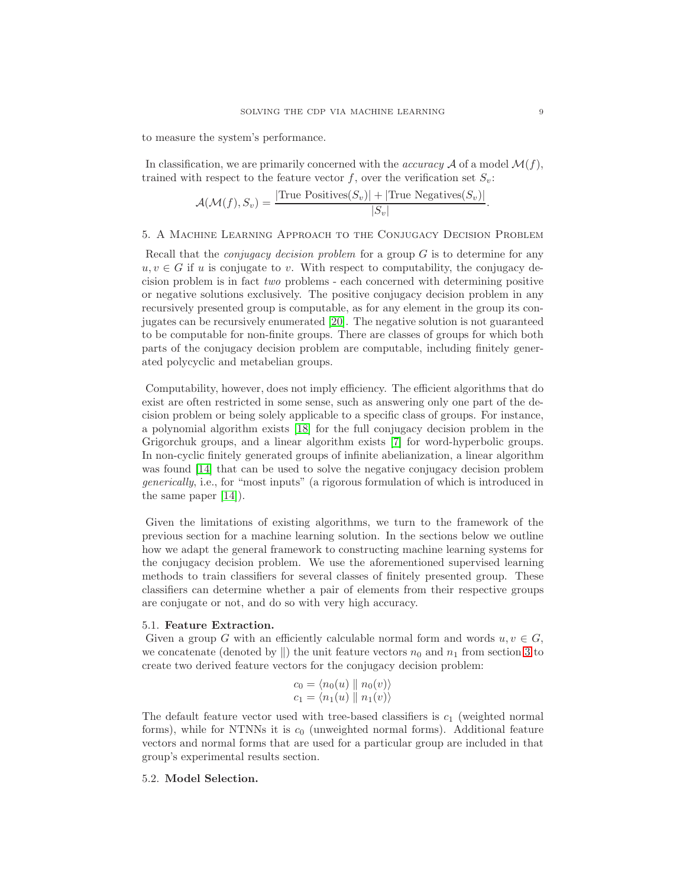to measure the system's performance.

In classification, we are primarily concerned with the *accuracy*  $\mathcal A$  of a model  $\mathcal M(f)$ , trained with respect to the feature vector  $f$ , over the verification set  $S_v$ :

$$
\mathcal{A}(\mathcal{M}(f), S_v) = \frac{|\text{True Positives}(S_v)| + |\text{True Negatives}(S_v)|}{|S_v|}.
$$

# 5. A Machine Learning Approach to the Conjugacy Decision Problem

Recall that the *conjugacy decision problem* for a group  $G$  is to determine for any  $u, v \in G$  if u is conjugate to v. With respect to computability, the conjugacy decision problem is in fact two problems - each concerned with determining positive or negative solutions exclusively. The positive conjugacy decision problem in any recursively presented group is computable, as for any element in the group its conjugates can be recursively enumerated [\[20\]](#page-20-13). The negative solution is not guaranteed to be computable for non-finite groups. There are classes of groups for which both parts of the conjugacy decision problem are computable, including finitely generated polycyclic and metabelian groups.

Computability, however, does not imply efficiency. The efficient algorithms that do exist are often restricted in some sense, such as answering only one part of the decision problem or being solely applicable to a specific class of groups. For instance, a polynomial algorithm exists [\[18\]](#page-20-14) for the full conjugacy decision problem in the Grigorchuk groups, and a linear algorithm exists [\[7\]](#page-20-15) for word-hyperbolic groups. In non-cyclic finitely generated groups of infinite abelianization, a linear algorithm was found [\[14\]](#page-20-16) that can be used to solve the negative conjugacy decision problem generically, i.e., for "most inputs" (a rigorous formulation of which is introduced in the same paper [\[14\]](#page-20-16)).

Given the limitations of existing algorithms, we turn to the framework of the previous section for a machine learning solution. In the sections below we outline how we adapt the general framework to constructing machine learning systems for the conjugacy decision problem. We use the aforementioned supervised learning methods to train classifiers for several classes of finitely presented group. These classifiers can determine whether a pair of elements from their respective groups are conjugate or not, and do so with very high accuracy.

### 5.1. Feature Extraction.

Given a group G with an efficiently calculable normal form and words  $u, v \in G$ , we concatenate (denoted by  $\parallel$ ) the unit feature vectors  $n_0$  and  $n_1$  from section [3](#page-3-0) to create two derived feature vectors for the conjugacy decision problem:

$$
c_0 = \langle n_0(u) \parallel n_0(v) \rangle
$$
  

$$
c_1 = \langle n_1(u) \parallel n_1(v) \rangle
$$

The default feature vector used with tree-based classifiers is  $c_1$  (weighted normal forms), while for NTNNs it is  $c_0$  (unweighted normal forms). Additional feature vectors and normal forms that are used for a particular group are included in that group's experimental results section.

### 5.2. Model Selection.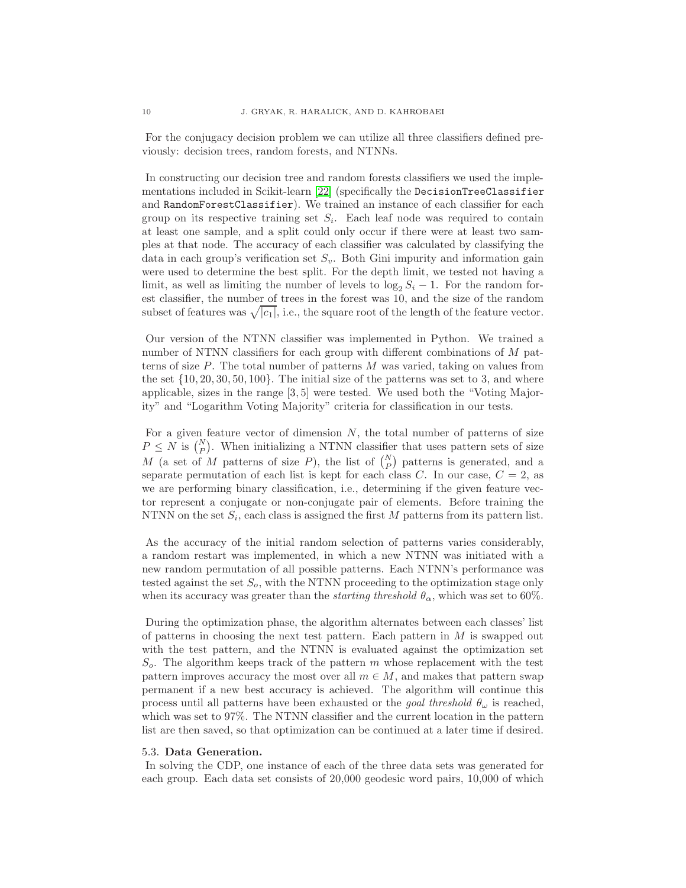For the conjugacy decision problem we can utilize all three classifiers defined previously: decision trees, random forests, and NTNNs.

In constructing our decision tree and random forests classifiers we used the implementations included in Scikit-learn [\[22\]](#page-20-17) (specifically the DecisionTreeClassifier and RandomForestClassifier). We trained an instance of each classifier for each group on its respective training set  $S_i$ . Each leaf node was required to contain at least one sample, and a split could only occur if there were at least two samples at that node. The accuracy of each classifier was calculated by classifying the data in each group's verification set  $S_v$ . Both Gini impurity and information gain were used to determine the best split. For the depth limit, we tested not having a limit, as well as limiting the number of levels to  $\log_2 S_i - 1$ . For the random forest classifier, the number of trees in the forest was 10, and the size of the random subset of features was  $\sqrt{|c_1|}$ , i.e., the square root of the length of the feature vector.

Our version of the NTNN classifier was implemented in Python. We trained a number of NTNN classifiers for each group with different combinations of M patterns of size P. The total number of patterns M was varied, taking on values from the set  $\{10, 20, 30, 50, 100\}$ . The initial size of the patterns was set to 3, and where applicable, sizes in the range [3, 5] were tested. We used both the "Voting Majority" and "Logarithm Voting Majority" criteria for classification in our tests.

For a given feature vector of dimension  $N$ , the total number of patterns of size  $P \leq N$  is  $\binom{N}{P}$ . When initializing a NTNN classifier that uses pattern sets of size M (a set of M patterns of size P), the list of  $\binom{N}{P}$  patterns is generated, and a separate permutation of each list is kept for each class C. In our case,  $C = 2$ , as we are performing binary classification, i.e., determining if the given feature vector represent a conjugate or non-conjugate pair of elements. Before training the NTNN on the set  $S_i$ , each class is assigned the first M patterns from its pattern list.

As the accuracy of the initial random selection of patterns varies considerably, a random restart was implemented, in which a new NTNN was initiated with a new random permutation of all possible patterns. Each NTNN's performance was tested against the set  $S<sub>o</sub>$ , with the NTNN proceeding to the optimization stage only when its accuracy was greater than the *starting threshold*  $\theta_{\alpha}$ , which was set to 60%.

During the optimization phase, the algorithm alternates between each classes' list of patterns in choosing the next test pattern. Each pattern in  $M$  is swapped out with the test pattern, and the NTNN is evaluated against the optimization set  $S<sub>o</sub>$ . The algorithm keeps track of the pattern m whose replacement with the test pattern improves accuracy the most over all  $m \in M$ , and makes that pattern swap permanent if a new best accuracy is achieved. The algorithm will continue this process until all patterns have been exhausted or the *goal threshold*  $\theta_{\omega}$  is reached, which was set to 97%. The NTNN classifier and the current location in the pattern list are then saved, so that optimization can be continued at a later time if desired.

### <span id="page-9-0"></span>5.3. Data Generation.

In solving the CDP, one instance of each of the three data sets was generated for each group. Each data set consists of 20,000 geodesic word pairs, 10,000 of which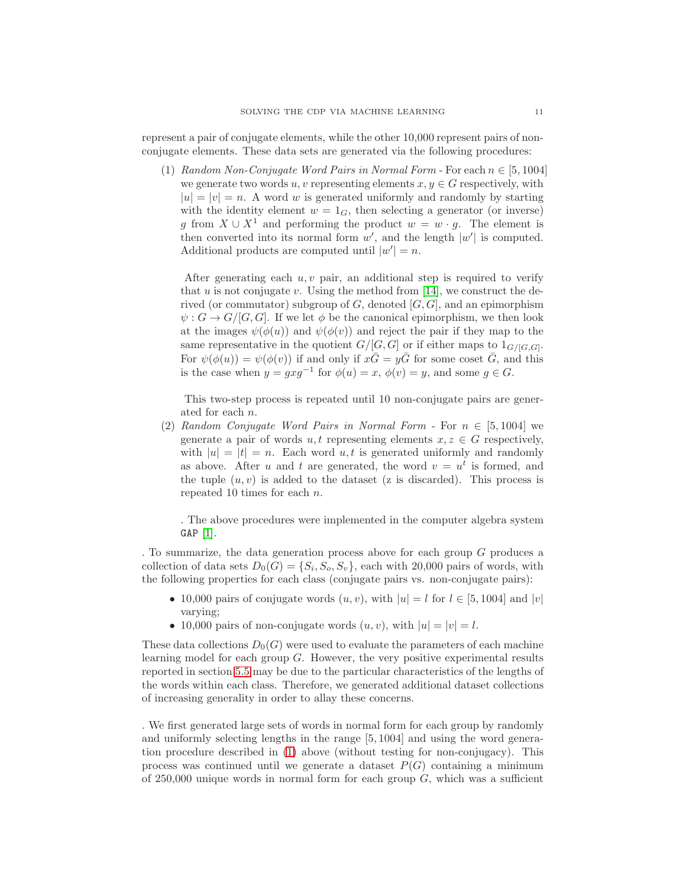<span id="page-10-0"></span>represent a pair of conjugate elements, while the other 10,000 represent pairs of nonconjugate elements. These data sets are generated via the following procedures:

(1) Random Non-Conjugate Word Pairs in Normal Form - For each  $n \in [5, 1004]$ we generate two words u, v representing elements  $x, y \in G$  respectively, with  $|u| = |v| = n$ . A word w is generated uniformly and randomly by starting with the identity element  $w = 1_G$ , then selecting a generator (or inverse) g from  $X \cup X^1$  and performing the product  $w = w \cdot g$ . The element is then converted into its normal form  $w'$ , and the length  $|w'|$  is computed. Additional products are computed until  $|w'| = n$ .

After generating each  $u, v$  pair, an additional step is required to verify that  $u$  is not conjugate  $v$ . Using the method from [\[14\]](#page-20-16), we construct the derived (or commutator) subgroup of G, denoted  $[G, G]$ , and an epimorphism  $\psi: G \to G/[G, G]$ . If we let  $\phi$  be the canonical epimorphism, we then look at the images  $\psi(\phi(u))$  and  $\psi(\phi(v))$  and reject the pair if they map to the same representative in the quotient  $G/[G,G]$  or if either maps to  $1_{G/[G,G]}$ . For  $\psi(\phi(u)) = \psi(\phi(v))$  if and only if  $x\overline{G} = y\overline{G}$  for some coset  $\overline{G}$ , and this is the case when  $y = gxg^{-1}$  for  $\phi(u) = x$ ,  $\phi(v) = y$ , and some  $g \in G$ .

This two-step process is repeated until 10 non-conjugate pairs are generated for each n.

<span id="page-10-1"></span>(2) Random Conjugate Word Pairs in Normal Form - For  $n \in [5, 1004]$  we generate a pair of words  $u, t$  representing elements  $x, z \in G$  respectively, with  $|u| = |t| = n$ . Each word  $u, t$  is generated uniformly and randomly as above. After u and t are generated, the word  $v = u^t$  is formed, and the tuple  $(u, v)$  is added to the dataset (z is discarded). This process is repeated 10 times for each n.

. The above procedures were implemented in the computer algebra system GAP [\[1\]](#page-20-18).

. To summarize, the data generation process above for each group G produces a collection of data sets  $D_0(G) = \{S_i, S_o, S_v\}$ , each with 20,000 pairs of words, with the following properties for each class (conjugate pairs vs. non-conjugate pairs):

- 10,000 pairs of conjugate words  $(u, v)$ , with  $|u| = l$  for  $l \in [5, 1004]$  and  $|v|$ varying;
- 10,000 pairs of non-conjugate words  $(u, v)$ , with  $|u| = |v| = l$ .

These data collections  $D_0(G)$  were used to evaluate the parameters of each machine learning model for each group  $G$ . However, the very positive experimental results reported in section [5.5](#page-15-0) may be due to the particular characteristics of the lengths of the words within each class. Therefore, we generated additional dataset collections of increasing generality in order to allay these concerns.

. We first generated large sets of words in normal form for each group by randomly and uniformly selecting lengths in the range [5, 1004] and using the word generation procedure described in [\(1\)](#page-10-0) above (without testing for non-conjugacy). This process was continued until we generate a dataset  $P(G)$  containing a minimum of  $250,000$  unique words in normal form for each group  $G$ , which was a sufficient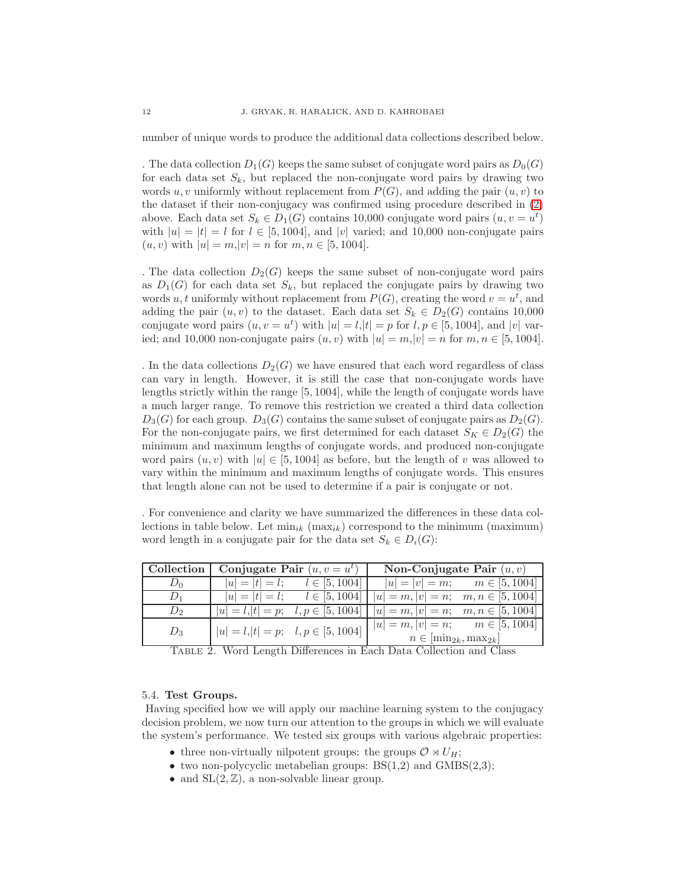number of unique words to produce the additional data collections described below.

. The data collection  $D_1(G)$  keeps the same subset of conjugate word pairs as  $D_0(G)$ for each data set  $S_k$ , but replaced the non-conjugate word pairs by drawing two words u, v uniformly without replacement from  $P(G)$ , and adding the pair  $(u, v)$  to the dataset if their non-conjugacy was confirmed using procedure described in [\(2\)](#page-10-1) above. Each data set  $S_k \in D_1(G)$  contains 10,000 conjugate word pairs  $(u, v = u^t)$ with  $|u| = |t| = l$  for  $l \in [5, 1004]$ , and  $|v|$  varied; and 10,000 non-conjugate pairs  $(u, v)$  with  $|u| = m, |v| = n$  for  $m, n \in [5, 1004]$ .

. The data collection  $D_2(G)$  keeps the same subset of non-conjugate word pairs as  $D_1(G)$  for each data set  $S_k$ , but replaced the conjugate pairs by drawing two words u, t uniformly without replacement from  $P(G)$ , creating the word  $v = u<sup>t</sup>$ , and adding the pair  $(u, v)$  to the dataset. Each data set  $S_k \in D_2(G)$  contains 10,000 conjugate word pairs  $(u, v = u^t)$  with  $|u| = l, |t| = p$  for  $l, p \in [5, 1004]$ , and  $|v|$  varied; and 10,000 non-conjugate pairs  $(u, v)$  with  $|u| = m, |v| = n$  for  $m, n \in [5, 1004]$ .

. In the data collections  $D_2(G)$  we have ensured that each word regardless of class can vary in length. However, it is still the case that non-conjugate words have lengths strictly within the range [5, 1004], while the length of conjugate words have a much larger range. To remove this restriction we created a third data collection  $D_3(G)$  for each group.  $D_3(G)$  contains the same subset of conjugate pairs as  $D_2(G)$ . For the non-conjugate pairs, we first determined for each dataset  $S_K \in D_2(G)$  the minimum and maximum lengths of conjugate words, and produced non-conjugate word pairs  $(u, v)$  with  $|u| \in [5, 1004]$  as before, but the length of v was allowed to vary within the minimum and maximum lengths of conjugate words. This ensures that length alone can not be used to determine if a pair is conjugate or not.

. For convenience and clarity we have summarized the differences in these data collections in table below. Let  $\min_{ik}$   $(\max_{ik})$  correspond to the minimum (maximum) word length in a conjugate pair for the data set  $S_k \in D_i(G)$ :

| $\mid$ Collection $\mid$ | Conjugate Pair $(u, v = u^t)$                             |                                          | Non-Conjugate Pair $(u, v)$                                                         |                                    |
|--------------------------|-----------------------------------------------------------|------------------------------------------|-------------------------------------------------------------------------------------|------------------------------------|
| $D_0$                    |                                                           | $ u  =  t  = l;$ $l \in [5, 1004]$       |                                                                                     | $ u  =  v  = m;$ $m \in [5, 1004]$ |
| $D_1$                    |                                                           | $ u  =  t  = l;$ $l \in [5, 1004]$       | $ u =m,  v =n; \quad m, n \in [5, 1004]$                                            |                                    |
| $D_2$                    |                                                           | $ u =l,  t =p; \quad l, p \in [5, 1004]$ | $ u =m,  v =n; \quad m,n \in [5,1004]$                                              |                                    |
| $D_3$                    | $ u  = l,  t  = p; \quad l, p \in [5, 1004]$              |                                          | $ u =m,  v =n; \qquad m \in [5, 1004]$<br>$n \in \left[\min_{2k}, \max_{2k}\right]$ |                                    |
|                          | $\tau$ $\tau$ $\tau$ $\tau$ $\tau$ $\tau$ $\tau$ $\alpha$ |                                          |                                                                                     |                                    |

<span id="page-11-0"></span>Table 2. Word Length Differences in Each Data Collection and Class

# 5.4. Test Groups.

Having specified how we will apply our machine learning system to the conjugacy decision problem, we now turn our attention to the groups in which we will evaluate the system's performance. We tested six groups with various algebraic properties:

- three non-virtually nilpotent groups: the groups  $\mathcal{O} \rtimes U_H$ ;
- two non-polycyclic metabelian groups:  $BS(1,2)$  and  $GMBS(2,3)$ ;
- and  $SL(2, \mathbb{Z})$ , a non-solvable linear group.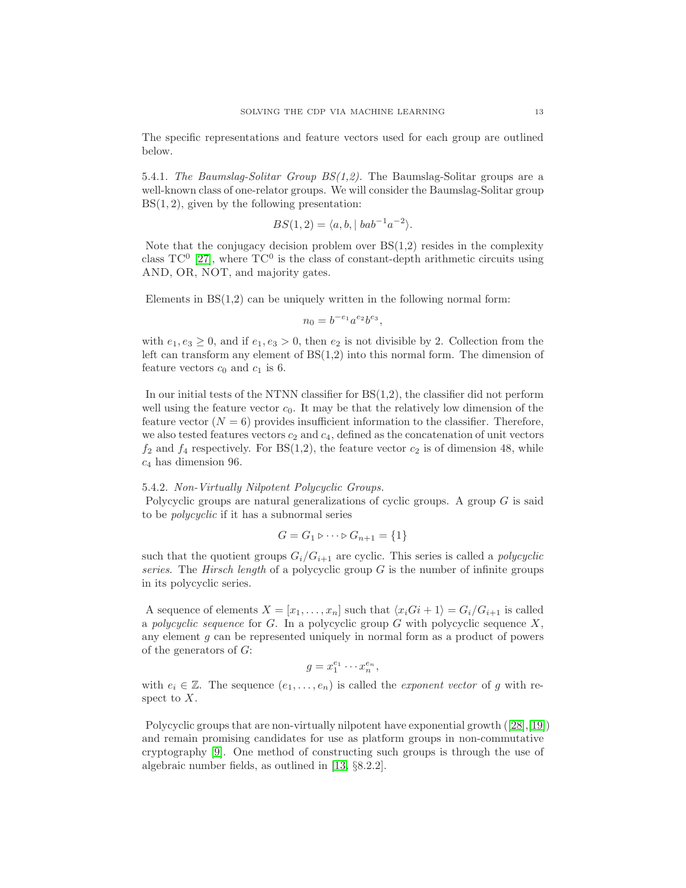The specific representations and feature vectors used for each group are outlined below.

5.4.1. The Baumslag-Solitar Group  $BS(1,2)$ . The Baumslag-Solitar groups are a well-known class of one-relator groups. We will consider the Baumslag-Solitar group  $BS(1, 2)$ , given by the following presentation:

$$
BS(1,2) = \langle a, b, | bab^{-1}a^{-2} \rangle.
$$

Note that the conjugacy decision problem over  $BS(1,2)$  resides in the complexity class  $TC^0$  [\[27\]](#page-21-1), where  $TC^0$  is the class of constant-depth arithmetic circuits using AND, OR, NOT, and majority gates.

Elements in  $BS(1,2)$  can be uniquely written in the following normal form:

$$
n_0 = b^{-e_1} a^{e_2} b^{e_3},
$$

with  $e_1, e_3 \geq 0$ , and if  $e_1, e_3 > 0$ , then  $e_2$  is not divisible by 2. Collection from the left can transform any element of  $BS(1,2)$  into this normal form. The dimension of feature vectors  $c_0$  and  $c_1$  is 6.

In our initial tests of the NTNN classifier for  $BS(1,2)$ , the classifier did not perform well using the feature vector  $c_0$ . It may be that the relatively low dimension of the feature vector  $(N = 6)$  provides insufficient information to the classifier. Therefore, we also tested features vectors  $c_2$  and  $c_4$ , defined as the concatenation of unit vectors  $f_2$  and  $f_4$  respectively. For BS(1,2), the feature vector  $c_2$  is of dimension 48, while  $c_4$  has dimension 96.

# 5.4.2. Non-Virtually Nilpotent Polycyclic Groups.

Polycyclic groups are natural generalizations of cyclic groups. A group  $G$  is said to be polycyclic if it has a subnormal series

$$
G = G_1 \triangleright \cdots \triangleright G_{n+1} = \{1\}
$$

such that the quotient groups  $G_i/G_{i+1}$  are cyclic. This series is called a *polycyclic* series. The Hirsch length of a polycyclic group  $G$  is the number of infinite groups in its polycyclic series.

A sequence of elements  $X = [x_1, \ldots, x_n]$  such that  $\langle x_iG_i + 1 \rangle = G_i/G_{i+1}$  is called a polycyclic sequence for  $G$ . In a polycyclic group  $G$  with polycyclic sequence  $X$ , any element  $g$  can be represented uniquely in normal form as a product of powers of the generators of G:

$$
g = x_1^{e_1} \cdots x_n^{e_n},
$$

with  $e_i \in \mathbb{Z}$ . The sequence  $(e_1, \ldots, e_n)$  is called the *exponent vector* of g with respect to X.

Polycyclicgroups that are non-virtually nilpotent have exponential growth  $(28,19)$ and remain promising candidates for use as platform groups in non-commutative cryptography [\[9\]](#page-20-6). One method of constructing such groups is through the use of algebraic number fields, as outlined in [\[13,](#page-20-4) §8.2.2].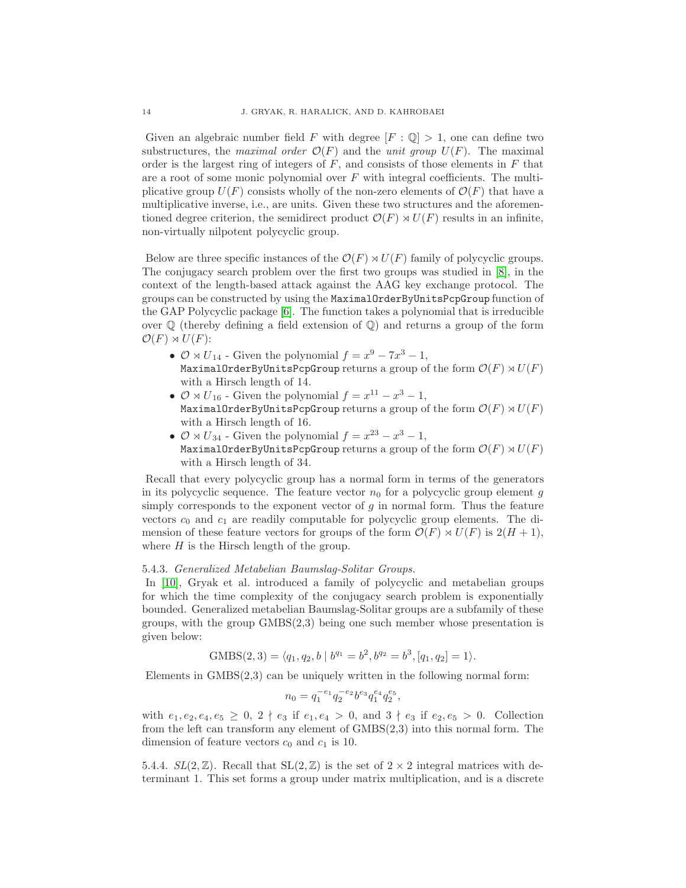Given an algebraic number field F with degree  $[F: \mathbb{Q}] > 1$ , one can define two substructures, the maximal order  $\mathcal{O}(F)$  and the unit group  $U(F)$ . The maximal order is the largest ring of integers of  $F$ , and consists of those elements in  $F$  that are a root of some monic polynomial over  $F$  with integral coefficients. The multiplicative group  $U(F)$  consists wholly of the non-zero elements of  $\mathcal{O}(F)$  that have a multiplicative inverse, i.e., are units. Given these two structures and the aforementioned degree criterion, the semidirect product  $\mathcal{O}(F) \rtimes U(F)$  results in an infinite, non-virtually nilpotent polycyclic group.

Below are three specific instances of the  $\mathcal{O}(F) \rtimes U(F)$  family of polycyclic groups. The conjugacy search problem over the first two groups was studied in [\[8\]](#page-20-20), in the context of the length-based attack against the AAG key exchange protocol. The groups can be constructed by using the MaximalOrderByUnitsPcpGroup function of the GAP Polycyclic package [\[6\]](#page-20-21). The function takes a polynomial that is irreducible over  $\mathbb Q$  (thereby defining a field extension of  $\mathbb Q$ ) and returns a group of the form  $\mathcal{O}(F) \rtimes U(F)$ :

- $\mathcal{O} \rtimes U_{14}$  Given the polynomial  $f = x^9 7x^3 1$ , MaximalOrderByUnitsPcpGroup returns a group of the form  $\mathcal{O}(F) \rtimes U(F)$ with a Hirsch length of 14.
- $\mathcal{O} \rtimes U_{16}$  Given the polynomial  $f = x^{11} x^3 1$ , MaximalOrderByUnitsPcpGroup returns a group of the form  $\mathcal{O}(F) \rtimes U(F)$ with a Hirsch length of 16.
- $\mathcal{O} \rtimes U_{34}$  Given the polynomial  $f = x^{23} x^3 1$ , MaximalOrderByUnitsPcpGroup returns a group of the form  $\mathcal{O}(F) \rtimes U(F)$ with a Hirsch length of 34.

Recall that every polycyclic group has a normal form in terms of the generators in its polycyclic sequence. The feature vector  $n_0$  for a polycyclic group element g simply corresponds to the exponent vector of  $g$  in normal form. Thus the feature vectors  $c_0$  and  $c_1$  are readily computable for polycyclic group elements. The dimension of these feature vectors for groups of the form  $\mathcal{O}(F) \rtimes U(F)$  is  $2(H + 1)$ , where  $H$  is the Hirsch length of the group.

### 5.4.3. Generalized Metabelian Baumslag-Solitar Groups.

In [\[10\]](#page-20-22), Gryak et al. introduced a family of polycyclic and metabelian groups for which the time complexity of the conjugacy search problem is exponentially bounded. Generalized metabelian Baumslag-Solitar groups are a subfamily of these groups, with the group  $GMBS(2,3)$  being one such member whose presentation is given below:

$$
GMBS(2,3) = \langle q_1, q_2, b \mid b^{q_1} = b^2, b^{q_2} = b^3, [q_1, q_2] = 1 \rangle.
$$

Elements in  $GMBS(2,3)$  can be uniquely written in the following normal form:

$$
n_0 = q_1^{-e_1} q_2^{-e_2} b^{e_3} q_1^{e_4} q_2^{e_5},
$$

with  $e_1, e_2, e_4, e_5 \geq 0$ ,  $2 \nmid e_3$  if  $e_1, e_4 > 0$ , and  $3 \nmid e_3$  if  $e_2, e_5 > 0$ . Collection from the left can transform any element of GMBS(2,3) into this normal form. The dimension of feature vectors  $c_0$  and  $c_1$  is 10.

5.4.4.  $SL(2,\mathbb{Z})$ . Recall that  $SL(2,\mathbb{Z})$  is the set of  $2\times 2$  integral matrices with determinant 1. This set forms a group under matrix multiplication, and is a discrete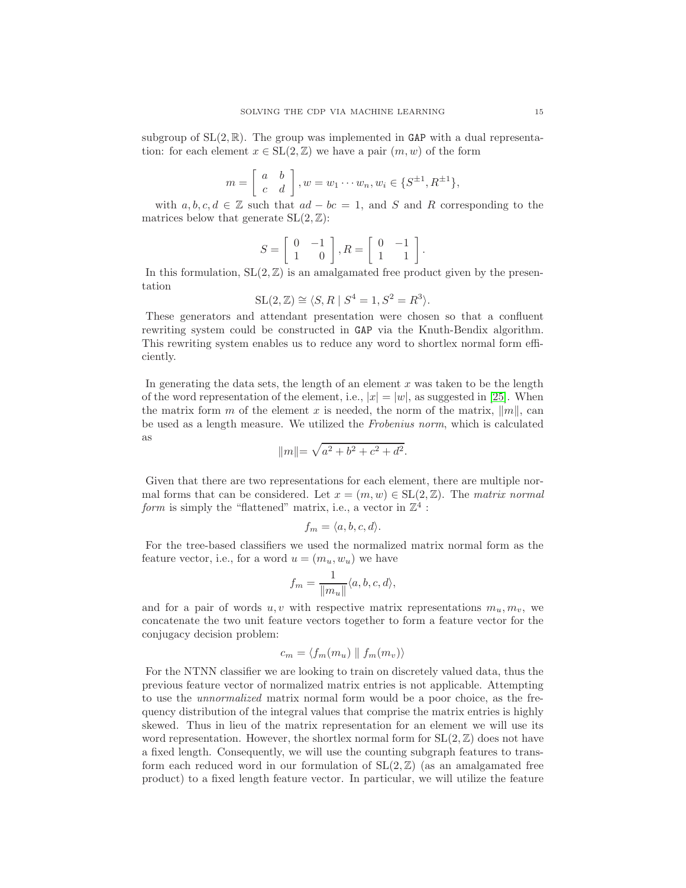subgroup of  $SL(2,\mathbb{R})$ . The group was implemented in GAP with a dual representation: for each element  $x \in SL(2, \mathbb{Z})$  we have a pair  $(m, w)$  of the form

$$
m = \left[ \begin{array}{cc} a & b \\ c & d \end{array} \right], w = w_1 \cdots w_n, w_i \in \{S^{\pm 1}, R^{\pm 1}\},
$$

with  $a, b, c, d \in \mathbb{Z}$  such that  $ad - bc = 1$ , and S and R corresponding to the matrices below that generate  $SL(2, \mathbb{Z})$ :

$$
S=\left[\begin{array}{cc} 0 & -1 \\ 1 & 0 \end{array}\right], R=\left[\begin{array}{cc} 0 & -1 \\ 1 & 1 \end{array}\right].
$$

In this formulation,  $SL(2, \mathbb{Z})$  is an amalgamated free product given by the presentation

$$
SL(2, \mathbb{Z}) \cong \langle S, R \mid S^4 = 1, S^2 = R^3 \rangle.
$$

These generators and attendant presentation were chosen so that a confluent rewriting system could be constructed in GAP via the Knuth-Bendix algorithm. This rewriting system enables us to reduce any word to shortlex normal form efficiently.

In generating the data sets, the length of an element  $x$  was taken to be the length of the word representation of the element, i.e.,  $|x| = |w|$ , as suggested in [\[25\]](#page-21-3). When the matrix form m of the element x is needed, the norm of the matrix,  $||m||$ , can be used as a length measure. We utilized the Frobenius norm, which is calculated as

$$
||m|| = \sqrt{a^2 + b^2 + c^2 + d^2}.
$$

Given that there are two representations for each element, there are multiple normal forms that can be considered. Let  $x = (m, w) \in SL(2, \mathbb{Z})$ . The matrix normal form is simply the "flattened" matrix, i.e., a vector in  $\mathbb{Z}^4$ :

$$
f_m = \langle a, b, c, d \rangle.
$$

For the tree-based classifiers we used the normalized matrix normal form as the feature vector, i.e., for a word  $u = (m_u, w_u)$  we have

$$
f_m = \frac{1}{\|m_u\|} \langle a, b, c, d \rangle,
$$

and for a pair of words u, v with respective matrix representations  $m_u, m_v$ , we concatenate the two unit feature vectors together to form a feature vector for the conjugacy decision problem:

$$
c_m = \langle f_m(m_u) \parallel f_m(m_v) \rangle
$$

For the NTNN classifier we are looking to train on discretely valued data, thus the previous feature vector of normalized matrix entries is not applicable. Attempting to use the unnormalized matrix normal form would be a poor choice, as the frequency distribution of the integral values that comprise the matrix entries is highly skewed. Thus in lieu of the matrix representation for an element we will use its word representation. However, the shortlex normal form for  $SL(2, \mathbb{Z})$  does not have a fixed length. Consequently, we will use the counting subgraph features to transform each reduced word in our formulation of  $SL(2, \mathbb{Z})$  (as an amalgamated free product) to a fixed length feature vector. In particular, we will utilize the feature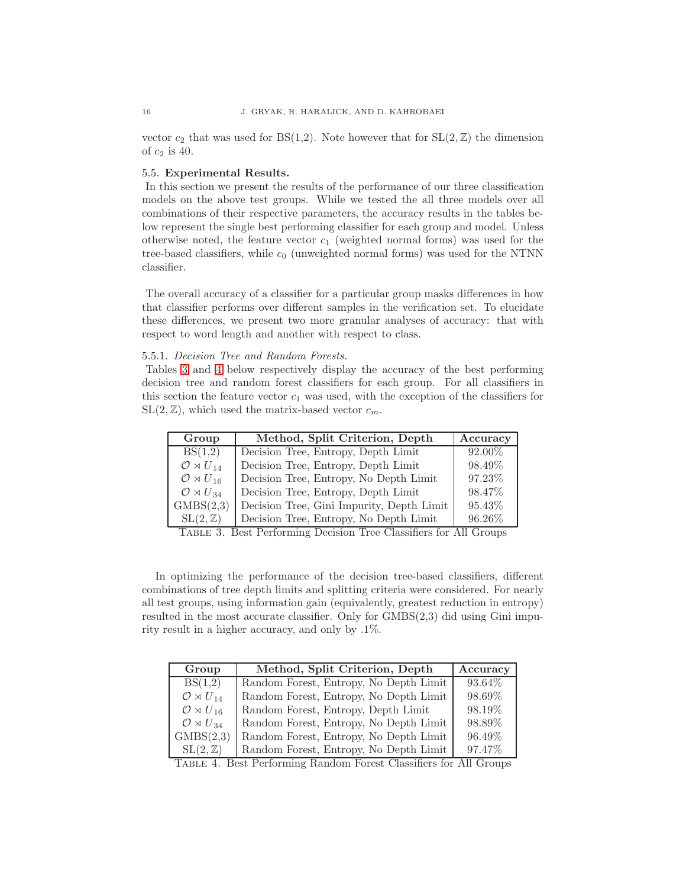vector  $c_2$  that was used for  $BS(1,2)$ . Note however that for  $SL(2,\mathbb{Z})$  the dimension of  $c_2$  is 40.

# <span id="page-15-0"></span>5.5. Experimental Results.

In this section we present the results of the performance of our three classification models on the above test groups. While we tested the all three models over all combinations of their respective parameters, the accuracy results in the tables below represent the single best performing classifier for each group and model. Unless otherwise noted, the feature vector  $c_1$  (weighted normal forms) was used for the tree-based classifiers, while  $c_0$  (unweighted normal forms) was used for the NTNN classifier.

The overall accuracy of a classifier for a particular group masks differences in how that classifier performs over different samples in the verification set. To elucidate these differences, we present two more granular analyses of accuracy: that with respect to word length and another with respect to class.

# 5.5.1. Decision Tree and Random Forests.

Tables [3](#page-15-1) and [4](#page-15-2) below respectively display the accuracy of the best performing decision tree and random forest classifiers for each group. For all classifiers in this section the feature vector  $c_1$  was used, with the exception of the classifiers for  $SL(2, \mathbb{Z})$ , which used the matrix-based vector  $c_m$ .

| Group                        | Method, Split Criterion, Depth            | Accuracy |
|------------------------------|-------------------------------------------|----------|
| BS(1,2)                      | Decision Tree, Entropy, Depth Limit       | 92.00%   |
| $\mathcal{O} \rtimes U_{14}$ | Decision Tree, Entropy, Depth Limit       | 98.49%   |
| $\mathcal{O} \rtimes U_{16}$ | Decision Tree, Entropy, No Depth Limit    | 97.23%   |
| $\mathcal{O} \rtimes U_{34}$ | Decision Tree, Entropy, Depth Limit       | 98.47%   |
| GMBS(2,3)                    | Decision Tree, Gini Impurity, Depth Limit | 95.43%   |
| $SL(2,\mathbb{Z})$           | Decision Tree, Entropy, No Depth Limit    | 96.26%   |

<span id="page-15-1"></span>Table 3. Best Performing Decision Tree Classifiers for All Groups

In optimizing the performance of the decision tree-based classifiers, different combinations of tree depth limits and splitting criteria were considered. For nearly all test groups, using information gain (equivalently, greatest reduction in entropy) resulted in the most accurate classifier. Only for GMBS(2,3) did using Gini impurity result in a higher accuracy, and only by .1%.

| Group                        | Method, Split Criterion, Depth         | Accuracy |
|------------------------------|----------------------------------------|----------|
| BS(1,2)                      | Random Forest, Entropy, No Depth Limit | 93.64\%  |
| $\mathcal{O} \rtimes U_{14}$ | Random Forest, Entropy, No Depth Limit | 98.69%   |
| $\mathcal{O} \rtimes U_{16}$ | Random Forest, Entropy, Depth Limit    | 98.19%   |
| $\mathcal{O} \rtimes U_{34}$ | Random Forest, Entropy, No Depth Limit | 98.89%   |
| GMBS(2,3)                    | Random Forest, Entropy, No Depth Limit | 96.49%   |
| $SL(2,\mathbb{Z})$           | Random Forest, Entropy, No Depth Limit | 97.47%   |

<span id="page-15-2"></span>Table 4. Best Performing Random Forest Classifiers for All Groups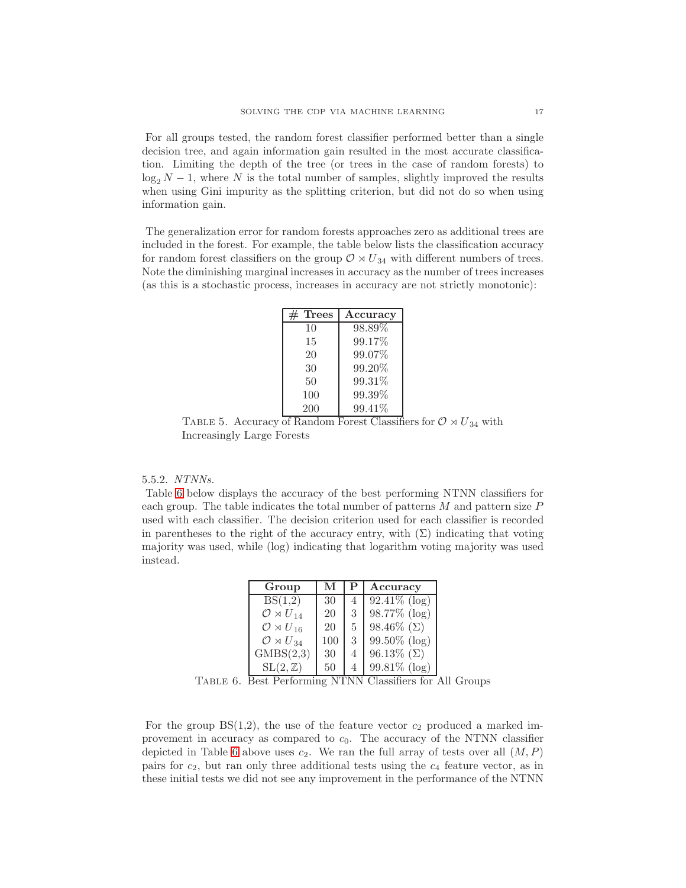For all groups tested, the random forest classifier performed better than a single decision tree, and again information gain resulted in the most accurate classification. Limiting the depth of the tree (or trees in the case of random forests) to  $\log_2 N - 1$ , where N is the total number of samples, slightly improved the results when using Gini impurity as the splitting criterion, but did not do so when using information gain.

The generalization error for random forests approaches zero as additional trees are included in the forest. For example, the table below lists the classification accuracy for random forest classifiers on the group  $\mathcal{O} \rtimes U_{34}$  with different numbers of trees. Note the diminishing marginal increases in accuracy as the number of trees increases (as this is a stochastic process, increases in accuracy are not strictly monotonic):

| <b>Trees</b> | Accuracy |
|--------------|----------|
| 10           | 98.89%   |
| 15           | 99.17%   |
| 20           | 99.07%   |
| 30           | 99.20%   |
| 50           | 99.31%   |
| 100          | 99.39%   |
| 200          | 99.41\%  |

TABLE 5. Accuracy of Random Forest Classifiers for  $\mathcal{O} \rtimes U_{34}$  with Increasingly Large Forests

#### 5.5.2. NTNNs.

Table [6](#page-16-0) below displays the accuracy of the best performing NTNN classifiers for each group. The table indicates the total number of patterns  $M$  and pattern size  $P$ used with each classifier. The decision criterion used for each classifier is recorded in parentheses to the right of the accuracy entry, with  $(\Sigma)$  indicating that voting majority was used, while (log) indicating that logarithm voting majority was used instead.

| Group                        | М   |   | Accuracy           |
|------------------------------|-----|---|--------------------|
| BS(1,2)                      | 30  | 4 | $92.41\%$ (log)    |
| $\mathcal{O} \rtimes U_{14}$ | 20  | 3 | $98.77\%$ (log)    |
| $\mathcal{O} \rtimes U_{16}$ | 20  | 5 | 98.46\% $(\Sigma)$ |
| $\mathcal{O} \rtimes U_{34}$ | 100 | 3 | $99.50\%$ (log)    |
| GMBS(2,3)                    | 30  | 4 | 96.13\% $(\Sigma)$ |
| $SL(2,\mathbb{Z})$           | 50  | 4 | $99.81\%$ (log)    |

<span id="page-16-0"></span>Table 6. Best Performing NTNN Classifiers for All Groups

For the group  $BS(1,2)$ , the use of the feature vector  $c_2$  produced a marked improvement in accuracy as compared to  $c_0$ . The accuracy of the NTNN classifier depicted in Table [6](#page-16-0) above uses  $c_2$ . We ran the full array of tests over all  $(M, P)$ pairs for  $c_2$ , but ran only three additional tests using the  $c_4$  feature vector, as in these initial tests we did not see any improvement in the performance of the NTNN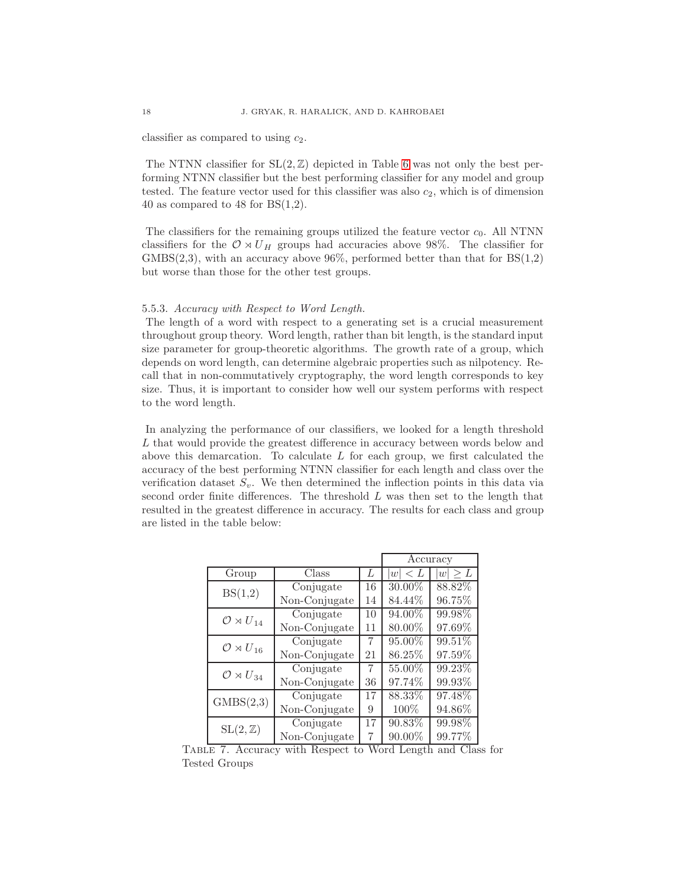classifier as compared to using  $c_2$ .

The NTNN classifier for  $SL(2, \mathbb{Z})$  depicted in Table [6](#page-16-0) was not only the best performing NTNN classifier but the best performing classifier for any model and group tested. The feature vector used for this classifier was also  $c_2$ , which is of dimension 40 as compared to 48 for  $BS(1,2)$ .

The classifiers for the remaining groups utilized the feature vector  $c_0$ . All NTNN classifiers for the  $\mathcal{O} \rtimes U_H$  groups had accuracies above 98%. The classifier for GMBS $(2,3)$ , with an accuracy above 96%, performed better than that for  $BS(1,2)$ but worse than those for the other test groups.

### 5.5.3. Accuracy with Respect to Word Length.

The length of a word with respect to a generating set is a crucial measurement throughout group theory. Word length, rather than bit length, is the standard input size parameter for group-theoretic algorithms. The growth rate of a group, which depends on word length, can determine algebraic properties such as nilpotency. Recall that in non-commutatively cryptography, the word length corresponds to key size. Thus, it is important to consider how well our system performs with respect to the word length.

In analyzing the performance of our classifiers, we looked for a length threshold L that would provide the greatest difference in accuracy between words below and above this demarcation. To calculate  $L$  for each group, we first calculated the accuracy of the best performing NTNN classifier for each length and class over the verification dataset  $S_v$ . We then determined the inflection points in this data via second order finite differences. The threshold L was then set to the length that resulted in the greatest difference in accuracy. The results for each class and group are listed in the table below:

|                              |                               |    | Accuracy      |              |
|------------------------------|-------------------------------|----|---------------|--------------|
| Group                        | Class                         | L  | $\,< L$<br> w | $ w  \geq L$ |
| BS(1,2)                      | Conjugate                     | 16 | $30.00\%$     | 88.82\%      |
|                              | Non-Conjugate                 | 14 | 84.44\%       | 96.75%       |
| $\mathcal{O} \rtimes U_{14}$ | $\overline{\text{Conjugate}}$ | 10 | 94.00%        | 99.98%       |
|                              | Non-Conjugate                 | 11 | 80.00%        | 97.69%       |
| $\mathcal{O} \rtimes U_{16}$ | Conjugate                     | 7  | 95.00%        | 99.51\%      |
|                              | Non-Conjugate                 | 21 | 86.25%        | 97.59%       |
| $\mathcal{O} \rtimes U_{34}$ | Conjugate                     | 7  | 55.00%        | 99.23\%      |
|                              | Non-Conjugate                 | 36 | 97.74%        | 99.93%       |
| GMBS(2,3)                    | Conjugate                     | 17 | 88.33%        | 97.48%       |
|                              | Non-Conjugate                 | 9  | 100%          | 94.86%       |
| $SL(2,\mathbb{Z})$           | Conjugate                     | 17 | 90.83%        | 99.98%       |
|                              | Non-Conjugate                 | 7  | 90.00%        | 99.77%       |

Table 7. Accuracy with Respect to Word Length and Class for Tested Groups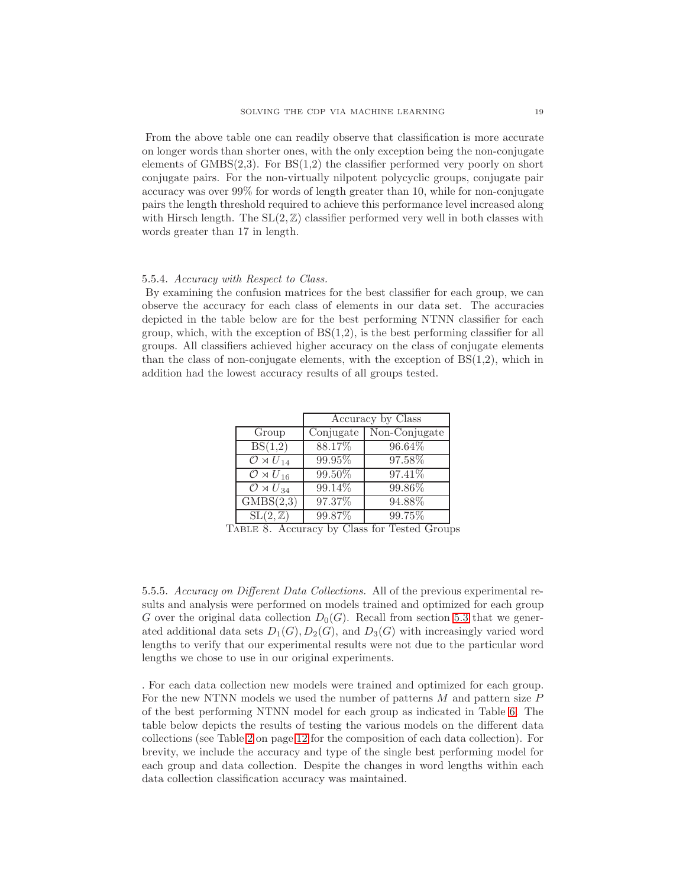From the above table one can readily observe that classification is more accurate on longer words than shorter ones, with the only exception being the non-conjugate elements of  $GMBS(2,3)$ . For  $BS(1,2)$  the classifier performed very poorly on short conjugate pairs. For the non-virtually nilpotent polycyclic groups, conjugate pair accuracy was over 99% for words of length greater than 10, while for non-conjugate pairs the length threshold required to achieve this performance level increased along with Hirsch length. The  $SL(2,\mathbb{Z})$  classifier performed very well in both classes with words greater than 17 in length.

#### 5.5.4. Accuracy with Respect to Class.

By examining the confusion matrices for the best classifier for each group, we can observe the accuracy for each class of elements in our data set. The accuracies depicted in the table below are for the best performing NTNN classifier for each group, which, with the exception of  $BS(1,2)$ , is the best performing classifier for all groups. All classifiers achieved higher accuracy on the class of conjugate elements than the class of non-conjugate elements, with the exception of  $BS(1,2)$ , which in addition had the lowest accuracy results of all groups tested.

|                                         | Accuracy by Class |               |  |
|-----------------------------------------|-------------------|---------------|--|
| Group                                   | Conjugate         | Non-Conjugate |  |
| BS(1,2)                                 | 88.17%            | 96.64%        |  |
| $\overline{\mathcal{O} \rtimes U}_{14}$ | 99.95%            | 97.58%        |  |
| $\overline{\mathcal{O} \rtimes U}_{16}$ | 99.50%            | 97.41%        |  |
| $\overline{\mathcal{O}\rtimes U_{34}}$  | 99.14%            | 99.86%        |  |
| $\overline{\text{GMBS}(2,3)}$           | 97.37%            | 94.88%        |  |
| $SL(2,\mathbb{Z})$                      | 99.87%            | 99.75%        |  |

Table 8. Accuracy by Class for Tested Groups

5.5.5. Accuracy on Different Data Collections. All of the previous experimental results and analysis were performed on models trained and optimized for each group G over the original data collection  $D_0(G)$ . Recall from section [5.3](#page-9-0) that we generated additional data sets  $D_1(G), D_2(G)$ , and  $D_3(G)$  with increasingly varied word lengths to verify that our experimental results were not due to the particular word lengths we chose to use in our original experiments.

. For each data collection new models were trained and optimized for each group. For the new NTNN models we used the number of patterns  $M$  and pattern size  $P$ of the best performing NTNN model for each group as indicated in Table [6.](#page-16-0) The table below depicts the results of testing the various models on the different data collections (see Table [2](#page-11-0) on page [12](#page-11-0) for the composition of each data collection). For brevity, we include the accuracy and type of the single best performing model for each group and data collection. Despite the changes in word lengths within each data collection classification accuracy was maintained.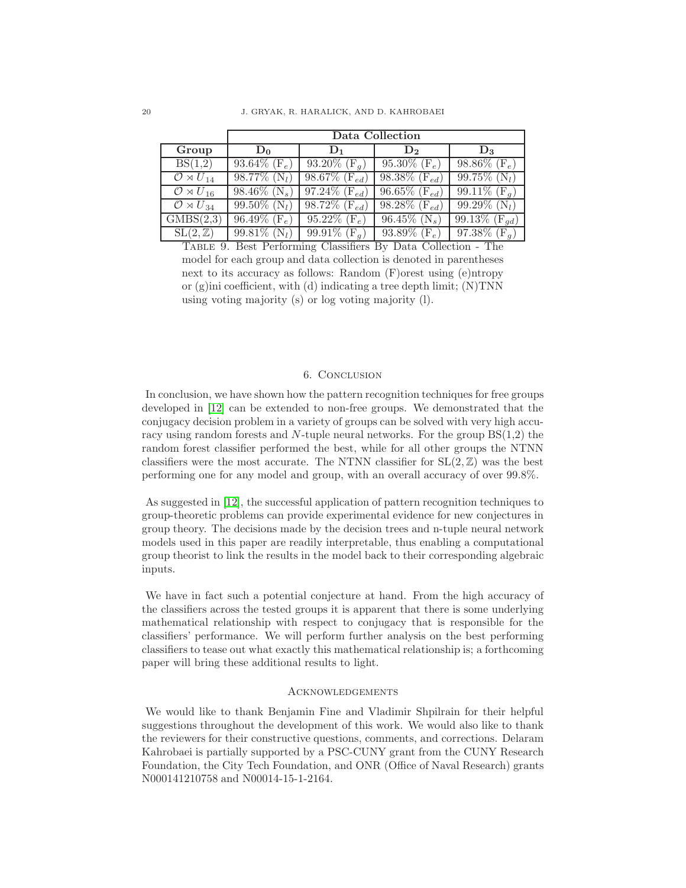|                                        | Data Collection                        |                                         |                              |                              |  |
|----------------------------------------|----------------------------------------|-----------------------------------------|------------------------------|------------------------------|--|
| Group                                  | $D_0$                                  | $\mathbf{D}_1$                          | $\mathbf{D}_2$               | $\mathbf{D}_3$               |  |
| BS(1,2)                                | $93.64\%$ (F <sub>e</sub> )            | 93.20\% $(F_a)$                         | 95.30\% $(F_e)$              | 98.86\% $(F_e)$              |  |
| $\mathcal{O} \rtimes U_{14}$           | $98.77\%$ (N <sub>l</sub> )            | $98.67\%$ (F <sub>ed</sub> )            | $98.38\%$ (F <sub>ed</sub> ) | 99.75% $(N_l)$               |  |
| $\mathcal{O} \rtimes U_{16}$           | $98.46\%$ (N <sub>s</sub> )            | $\overline{97.24\%}$ (F <sub>ed</sub> ) | $96.65\%$ (F <sub>ed</sub> ) | $99.11\%$ (F <sub>a</sub> )  |  |
| $\mathcal{O} \rtimes U_{34}$           | 99.50\% $(N_l)$                        | $98.72\%$ (F <sub>ed</sub> )            | 98.28\% $(F_{ed})$           | $99.29\%$ (N <sub>l</sub> )  |  |
| GMBS(2,3)                              | $\overline{96.49\%}$ (F <sub>e</sub> ) | 95.22\% $(F_e)$                         | 96.45\% (N <sub>s</sub> )    | $99.13\%$ (F <sub>qd</sub> ) |  |
| $\overline{\mathrm{SL}(2,\mathbb{Z})}$ | $99.81\%$ (N <sub>l</sub> )            | 99.91\% $(F_q)$                         | $93.89\%$ (F <sub>e</sub> )  | $97.38\%$ (F <sub>a</sub> )  |  |

Table 9. Best Performing Classifiers By Data Collection - The model for each group and data collection is denoted in parentheses next to its accuracy as follows: Random (F)orest using (e)ntropy or  $(g)$ ini coefficient, with  $(d)$  indicating a tree depth limit;  $(N)$ TNN using voting majority (s) or log voting majority (l).

# 6. Conclusion

In conclusion, we have shown how the pattern recognition techniques for free groups developed in [\[12\]](#page-20-3) can be extended to non-free groups. We demonstrated that the conjugacy decision problem in a variety of groups can be solved with very high accuracy using random forests and N-tuple neural networks. For the group  $BS(1,2)$  the random forest classifier performed the best, while for all other groups the NTNN classifiers were the most accurate. The NTNN classifier for  $SL(2, \mathbb{Z})$  was the best performing one for any model and group, with an overall accuracy of over 99.8%.

As suggested in [\[12\]](#page-20-3), the successful application of pattern recognition techniques to group-theoretic problems can provide experimental evidence for new conjectures in group theory. The decisions made by the decision trees and n-tuple neural network models used in this paper are readily interpretable, thus enabling a computational group theorist to link the results in the model back to their corresponding algebraic inputs.

We have in fact such a potential conjecture at hand. From the high accuracy of the classifiers across the tested groups it is apparent that there is some underlying mathematical relationship with respect to conjugacy that is responsible for the classifiers' performance. We will perform further analysis on the best performing classifiers to tease out what exactly this mathematical relationship is; a forthcoming paper will bring these additional results to light.

#### **ACKNOWLEDGEMENTS**

We would like to thank Benjamin Fine and Vladimir Shpilrain for their helpful suggestions throughout the development of this work. We would also like to thank the reviewers for their constructive questions, comments, and corrections. Delaram Kahrobaei is partially supported by a PSC-CUNY grant from the CUNY Research Foundation, the City Tech Foundation, and ONR (Office of Naval Research) grants N000141210758 and N00014-15-1-2164.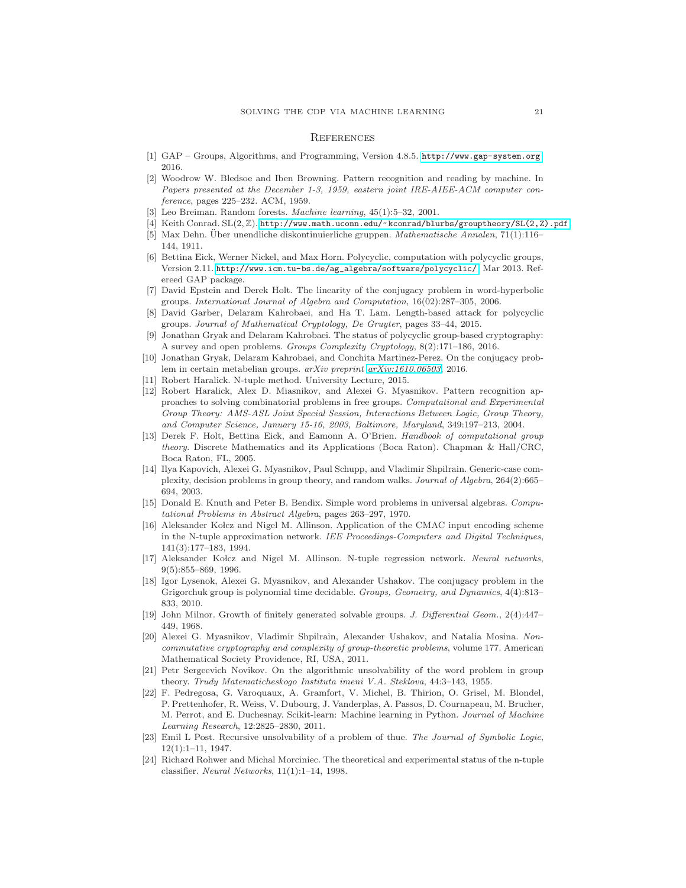#### **REFERENCES**

- <span id="page-20-18"></span><span id="page-20-8"></span>[1] GAP – Groups, Algorithms, and Programming, Version 4.8.5. <http://www.gap-system.org>, 2016.
- [2] Woodrow W. Bledsoe and Iben Browning. Pattern recognition and reading by machine. In Papers presented at the December 1-3, 1959, eastern joint IRE-AIEE-ACM computer conference, pages 225–232. ACM, 1959.
- <span id="page-20-7"></span>[3] Leo Breiman. Random forests. Machine learning, 45(1):5–32, 2001.
- <span id="page-20-0"></span>[4] Keith Conrad. SL(2, Z). http://www.math.uconn.edu/~kconrad/blurbs/grouptheory/SL(2, Z).pdf.
- [5] Max Dehn. Über unendliche diskontinuierliche gruppen. Mathematische Annalen, 71(1):116– 144, 1911.
- <span id="page-20-21"></span>[6] Bettina Eick, Werner Nickel, and Max Horn. Polycyclic, computation with polycyclic groups, Version 2.11. [http://www.icm.tu-bs.de/ag\\_algebra/software/polycyclic/](http://www.icm.tu-bs.de/ag_algebra/software/polycyclic/), Mar 2013. Refereed GAP package.
- <span id="page-20-15"></span>[7] David Epstein and Derek Holt. The linearity of the conjugacy problem in word-hyperbolic groups. International Journal of Algebra and Computation, 16(02):287–305, 2006.
- <span id="page-20-20"></span>[8] David Garber, Delaram Kahrobaei, and Ha T. Lam. Length-based attack for polycyclic groups. Journal of Mathematical Cryptology, De Gruyter, pages 33–44, 2015.
- <span id="page-20-6"></span>[9] Jonathan Gryak and Delaram Kahrobaei. The status of polycyclic group-based cryptography: A survey and open problems. Groups Complexity Cryptology, 8(2):171–186, 2016.
- <span id="page-20-22"></span><span id="page-20-12"></span>[10] Jonathan Gryak, Delaram Kahrobaei, and Conchita Martinez-Perez. On the conjugacy problem in certain metabelian groups. arXiv preprint [arXiv:1610.06503](http://arxiv.org/abs/1610.06503), 2016.
- <span id="page-20-3"></span>[11] Robert Haralick. N-tuple method. University Lecture, 2015.
- [12] Robert Haralick, Alex D. Miasnikov, and Alexei G. Myasnikov. Pattern recognition approaches to solving combinatorial problems in free groups. Computational and Experimental Group Theory: AMS-ASL Joint Special Session, Interactions Between Logic, Group Theory, and Computer Science, January 15-16, 2003, Baltimore, Maryland, 349:197–213, 2004.
- <span id="page-20-4"></span>[13] Derek F. Holt, Bettina Eick, and Eamonn A. O'Brien. Handbook of computational group theory. Discrete Mathematics and its Applications (Boca Raton). Chapman & Hall/CRC, Boca Raton, FL, 2005.
- <span id="page-20-16"></span>[14] Ilya Kapovich, Alexei G. Myasnikov, Paul Schupp, and Vladimir Shpilrain. Generic-case complexity, decision problems in group theory, and random walks. Journal of Algebra, 264(2):665– 694, 2003.
- <span id="page-20-5"></span>[15] Donald E. Knuth and Peter B. Bendix. Simple word problems in universal algebras. Computational Problems in Abstract Algebra, pages 263–297, 1970.
- <span id="page-20-9"></span>[16] Aleksander Kołcz and Nigel M. Allinson. Application of the CMAC input encoding scheme in the N-tuple approximation network. IEE Proceedings-Computers and Digital Techniques, 141(3):177–183, 1994.
- <span id="page-20-10"></span>[17] Aleksander Kołcz and Nigel M. Allinson. N-tuple regression network. Neural networks, 9(5):855–869, 1996.
- <span id="page-20-14"></span>[18] Igor Lysenok, Alexei G. Myasnikov, and Alexander Ushakov. The conjugacy problem in the Grigorchuk group is polynomial time decidable. Groups, Geometry, and Dynamics,  $4(4):813-$ 833, 2010.
- <span id="page-20-19"></span>[19] John Milnor. Growth of finitely generated solvable groups. J. Differential Geom., 2(4):447– 449, 1968.
- <span id="page-20-13"></span>[20] Alexei G. Myasnikov, Vladimir Shpilrain, Alexander Ushakov, and Natalia Mosina. Noncommutative cryptography and complexity of group-theoretic problems, volume 177. American Mathematical Society Providence, RI, USA, 2011.
- <span id="page-20-2"></span>[21] Petr Sergeevich Novikov. On the algorithmic unsolvability of the word problem in group theory. Trudy Matematicheskogo Instituta imeni V.A. Steklova, 44:3–143, 1955.
- <span id="page-20-17"></span>[22] F. Pedregosa, G. Varoquaux, A. Gramfort, V. Michel, B. Thirion, O. Grisel, M. Blondel, P. Prettenhofer, R. Weiss, V. Dubourg, J. Vanderplas, A. Passos, D. Cournapeau, M. Brucher, M. Perrot, and E. Duchesnay. Scikit-learn: Machine learning in Python. Journal of Machine Learning Research, 12:2825–2830, 2011.
- <span id="page-20-1"></span>[23] Emil L Post. Recursive unsolvability of a problem of thue. The Journal of Symbolic Logic, 12(1):1–11, 1947.
- <span id="page-20-11"></span>[24] Richard Rohwer and Michal Morciniec. The theoretical and experimental status of the n-tuple classifier. Neural Networks, 11(1):1–14, 1998.